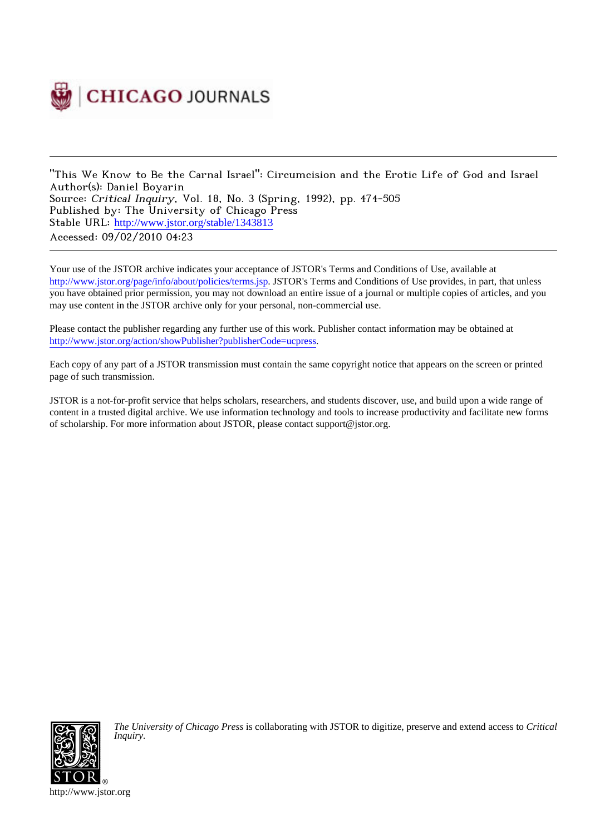

"This We Know to Be the Carnal Israel": Circumcision and the Erotic Life of God and Israel Author(s): Daniel Boyarin Source: Critical Inquiry, Vol. 18, No. 3 (Spring, 1992), pp. 474-505 Published by: The University of Chicago Press Stable URL: [http://www.jstor.org/stable/1343813](http://www.jstor.org/stable/1343813?origin=JSTOR-pdf) Accessed: 09/02/2010 04:23

Your use of the JSTOR archive indicates your acceptance of JSTOR's Terms and Conditions of Use, available at <http://www.jstor.org/page/info/about/policies/terms.jsp>. JSTOR's Terms and Conditions of Use provides, in part, that unless you have obtained prior permission, you may not download an entire issue of a journal or multiple copies of articles, and you may use content in the JSTOR archive only for your personal, non-commercial use.

Please contact the publisher regarding any further use of this work. Publisher contact information may be obtained at [http://www.jstor.org/action/showPublisher?publisherCode=ucpress.](http://www.jstor.org/action/showPublisher?publisherCode=ucpress)

Each copy of any part of a JSTOR transmission must contain the same copyright notice that appears on the screen or printed page of such transmission.

JSTOR is a not-for-profit service that helps scholars, researchers, and students discover, use, and build upon a wide range of content in a trusted digital archive. We use information technology and tools to increase productivity and facilitate new forms of scholarship. For more information about JSTOR, please contact support@jstor.org.



*The University of Chicago Press* is collaborating with JSTOR to digitize, preserve and extend access to *Critical Inquiry.*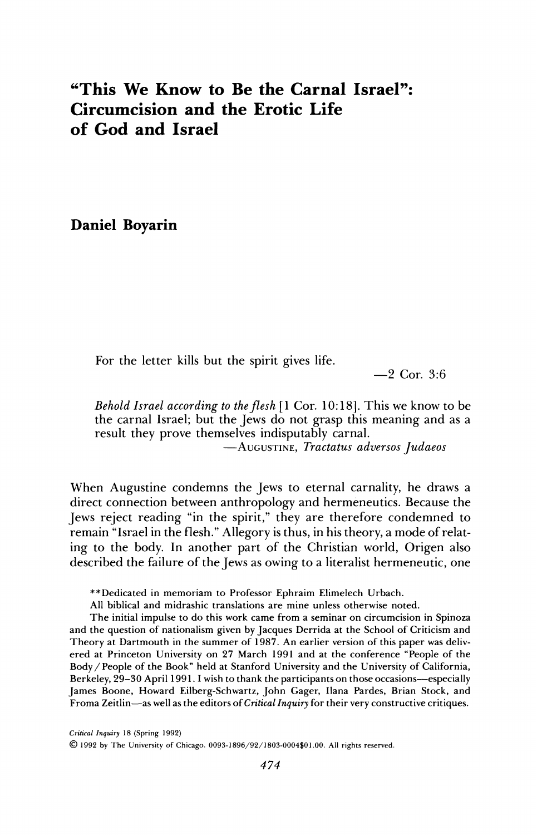# **"This We Know to Be the Carnal Israel": Circumcision and the Erotic Life of God and Israel**

**Daniel Boyarin** 

**For the letter kills but the spirit gives life.** 

**-2 Cor. 3:6** 

**Behold Israel according to theflesh [1 Cor. 10:18]. This we know to be the carnal Israel; but the Jews do not grasp this meaning and as a result they prove themselves indisputably carnal.** 

**-AUGUSTINE, Tractatus adversos Judaeos** 

**When Augustine condemns the Jews to eternal carnality, he draws a direct connection between anthropology and hermeneutics. Because the Jews reject reading "in the spirit," they are therefore condemned to remain "Israel in the flesh." Allegory is thus, in his theory, a mode of relating to the body. In another part of the Christian world, Origen also described the failure of the Jews as owing to a literalist hermeneutic, one** 

**\*\*Dedicated in memoriam to Professor Ephraim Elimelech Urbach.** 

**All biblical and midrashic translations are mine unless otherwise noted.** 

**The initial impulse to do this work came from a seminar on circumcision in Spinoza and the question of nationalism given by Jacques Derrida at the School of Criticism and Theory at Dartmouth in the summer of 1987. An earlier version of this paper was delivered at Princeton University on 27 March 1991 and at the conference "People of the Body/People of the Book" held at Stanford University and the University of California, Berkeley, 29-30 April 1991. I wish to thank the participants on those occasions-especially James Boone, Howard Eilberg-Schwartz, John Gager, Ilana Pardes, Brian Stock, and**  Froma Zeitlin-as well as the editors of *Critical Inquiry* for their very constructive critiques.

**<sup>? 1992</sup> by The University of Chicago. 0093-1896/92/1803-0004\$01.00. All rights reserved.**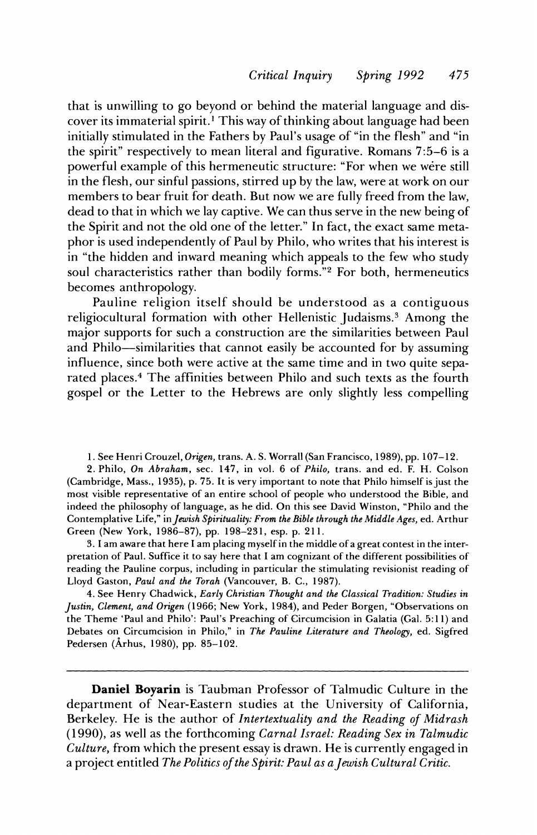**that is unwilling to go beyond or behind the material language and discover its immaterial spirit. This way of thinking about language had been initially stimulated in the Fathers by Paul's usage of "in the flesh" and "in the spirit" respectively to mean literal and figurative. Romans 7:5-6 is a powerful example of this hermeneutic structure: "For when we were still in the flesh, our sinful passions, stirred up by the law, were at work on our members to bear fruit for death. But now we are fully freed from the law, dead to that in which we lay captive. We can thus serve in the new being of the Spirit and not the old one of the letter." In fact, the exact same metaphor is used independently of Paul by Philo, who writes that his interest is in "the hidden and inward meaning which appeals to the few who study soul characteristics rather than bodily forms."2 For both, hermeneutics becomes anthropology.** 

**Pauline religion itself should be understood as a contiguous religiocultural formation with other Hellenistic Judaisms.3 Among the major supports for such a construction are the similarities between Paul and Philo-similarities that cannot easily be accounted for by assuming influence, since both were active at the same time and in two quite separated places.4 The affinities between Philo and such texts as the fourth gospel or the Letter to the Hebrews are only slightly less compelling** 

**1. See Henri Crouzel, Origen, trans. A. S. Worrall (San Francisco, 1989), pp. 107-12.** 

**2. Philo, On Abraham, sec. 147, in vol. 6 of Philo, trans. and ed. F. H. Colson (Cambridge, Mass., 1935), p. 75. It is very important to note that Philo himself is just the most visible representative of an entire school of people who understood the Bible, and indeed the philosophy of language, as he did. On this see David Winston, "Philo and the Contemplative Life," in Jewish Spirituality: From the Bible through the Middle Ages, ed. Arthur Green (New York, 1986-87), pp. 198-231, esp. p. 211.** 

**3. I am aware that here I am placing myself in the middle of a great contest in the interpretation of Paul. Suffice it to say here that I am cognizant of the different possibilities of reading the Pauline corpus, including in particular the stimulating revisionist reading of Lloyd Gaston, Paul and the Torah (Vancouver, B. C., 1987).** 

**4. See Henry Chadwick, Early Christian Thought and the Classical Tradition: Studies in Justin, Clement, and Origen (1966; New York, 1984), and Peder Borgen, "Observations on the Theme 'Paul and Philo': Paul's Preaching of Circumcision in Galatia (Gal. 5:11) and Debates on Circumcision in Philo," in The Pauline Literature and Theology, ed. Sigfred Pedersen (Arhus, 1980), pp. 85-102.** 

**Daniel Boyarin is Taubman Professor of Talmudic Culture in the department of Near-Eastern studies at the University of California, Berkeley. He is the author of Intertextuality and the Reading of Midrash (1990), as well as the forthcoming Carnal Israel: Reading Sex in Talmudic Culture, from which the present essay is drawn. He is currently engaged in a project entitled The Politics of the Spirit: Paul as a Jewish Cultural Critic.**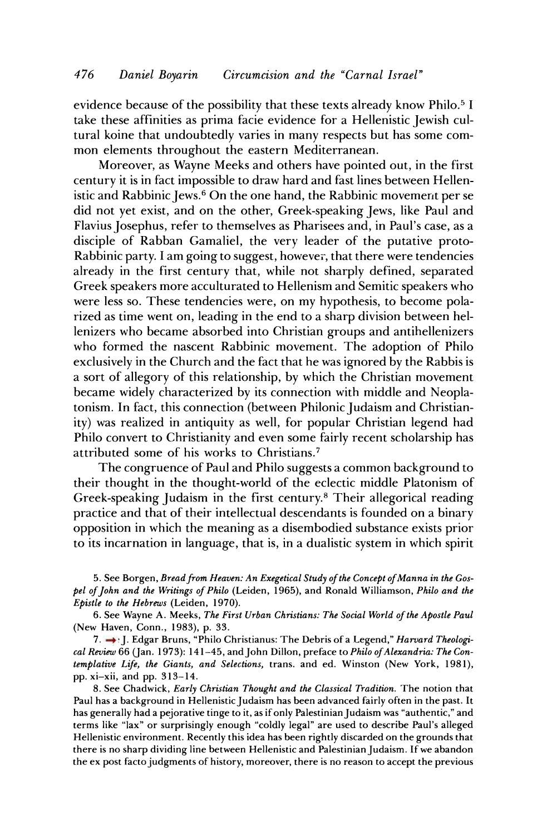**evidence because of the possibility that these texts already know Philo.5 I take these affinities as prima facie evidence for a Hellenistic Jewish cultural koine that undoubtedly varies in many respects but has some common elements throughout the eastern Mediterranean.** 

**Moreover, as Wayne Meeks and others have pointed out, in the first century it is in fact impossible to draw hard and fast lines between Hellenistic and Rabbinic Jews.6 On the one hand, the Rabbinic movement per se did not yet exist, and on the other, Greek-speaking Jews, like Paul and**  Flavius Josephus, refer to themselves as Pharisees and, in Paul's case, as a **disciple of Rabban Gamaliel, the very leader of the putative proto-Rabbinic party. I am going to suggest, however, that there were tendencies already in the first century that, while not sharply defined, separated Greek speakers more acculturated to Hellenism and Semitic speakers who were less so. These tendencies were, on my hypothesis, to become polarized as time went on, leading in the end to a sharp division between hellenizers who became absorbed into Christian groups and antihellenizers who formed the nascent Rabbinic movement. The adoption of Philo exclusively in the Church and the fact that he was ignored by the Rabbis is a sort of allegory of this relationship, by which the Christian movement became widely characterized by its connection with middle and Neoplatonism. In fact, this connection (between Philonic Judaism and Christianity) was realized in antiquity as well, for popular Christian legend had Philo convert to Christianity and even some fairly recent scholarship has attributed some of his works to Christians.7** 

**The congruence of Paul and Philo suggests a common background to their thought in the thought-world of the eclectic middle Platonism of Greek-speaking Judaism in the first century.8 Their allegorical reading practice and that of their intellectual descendants is founded on a binary opposition in which the meaning as a disembodied substance exists prior to its incarnation in language, that is, in a dualistic system in which spirit** 

**5. See Borgen, Bread from Heaven: An Exegetical Study of the Concept of Manna in the Gospel of John and the Writings of Philo (Leiden, 1965), and Ronald Williamson, Philo and the Epistle to the Hebrews (Leiden, 1970).** 

**6. See Wayne A. Meeks, The First Urban Christians: The Social World of the Apostle Paul (New Haven, Conn., 1983), p. 33.** 

7.  $\rightarrow$  J. Edgar Bruns, "Philo Christianus: The Debris of a Legend," *Harvard Theologi*cal Review 66 (Jan. 1973): 141-45, and John Dillon, preface to Philo of Alexandria: The Con**templative Life, the Giants, and Selections, trans. and ed. Winston (New York, 1981), pp. xi-xii, and pp. 313-14.** 

**8. See Chadwick, Early Christian Thought and the Classical Tradition. The notion that**  Paul has a background in Hellenistic Judaism has been advanced fairly often in the past. It has generally had a pejorative tinge to it, as if only Palestinian Judaism was "authentic," and **terms like "lax" or surprisingly enough "coldly legal" are used to describe Paul's alleged Hellenistic environment. Recently this idea has been rightly discarded on the grounds that there is no sharp dividing line between Hellenistic and Palestinian Judaism. If we abandon the ex post facto judgments of history, moreover, there is no reason to accept the previous**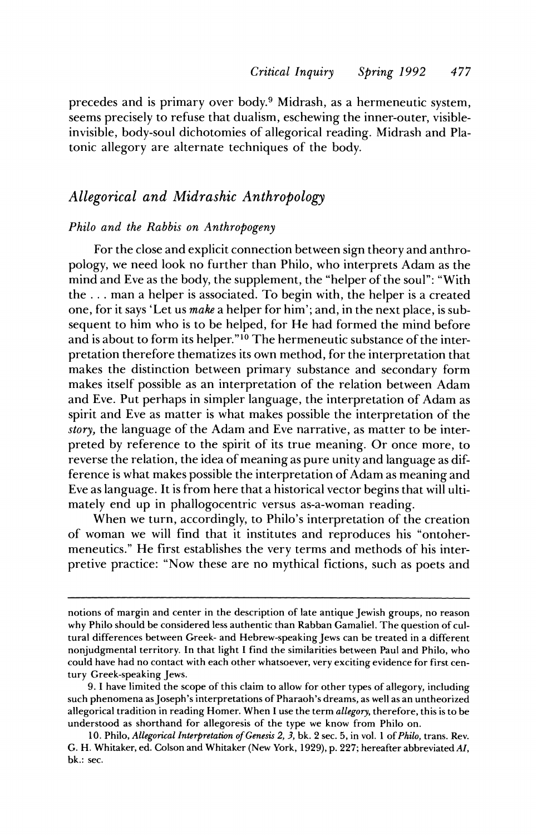**precedes and is primary over body.9 Midrash, as a hermeneutic system, seems precisely to refuse that dualism, eschewing the inner-outer, visibleinvisible, body-soul dichotomies of allegorical reading. Midrash and Platonic allegory are alternate techniques of the body.** 

## **Allegorical and Midrashic Anthropology**

#### **Philo and the Rabbis on Anthropogeny**

**For the close and explicit connection between sign theory and anthropology, we need look no further than Philo, who interprets Adam as the mind and Eve as the body, the supplement, the "helper of the soul": "With the ... man a helper is associated. To begin with, the helper is a created one, for it says 'Let us make a helper for him'; and, in the next place, is subsequent to him who is to be helped, for He had formed the mind before**  and is about to form its helper."<sup>10</sup> The hermeneutic substance of the inter**pretation therefore thematizes its own method, for the interpretation that makes the distinction between primary substance and secondary form makes itself possible as an interpretation of the relation between Adam and Eve. Put perhaps in simpler language, the interpretation of Adam as spirit and Eve as matter is what makes possible the interpretation of the story, the language of the Adam and Eve narrative, as matter to be interpreted by reference to the spirit of its true meaning. Or once more, to reverse the relation, the idea of meaning as pure unity and language as difference is what makes possible the interpretation of Adam as meaning and Eve as language. It is from here that a historical vector begins that will ultimately end up in phallogocentric versus as-a-woman reading.** 

**When we turn, accordingly, to Philo's interpretation of the creation of woman we will find that it institutes and reproduces his "ontohermeneutics." He first establishes the very terms and methods of his interpretive practice: "Now these are no mythical fictions, such as poets and** 

**notions of margin and center in the description of late antique Jewish groups, no reason why Philo should be considered less authentic than Rabban Gamaliel. The question of cultural differences between Greek- and Hebrew-speaking Jews can be treated in a different nonjudgmental territory. In that light I find the similarities between Paul and Philo, who could have had no contact with each other whatsoever, very exciting evidence for first century Greek-speaking Jews.** 

**<sup>9.</sup> I have limited the scope of this claim to allow for other types of allegory, including**  such phenomena as Joseph's interpretations of Pharaoh's dreams, as well as an untheorized **allegorical tradition in reading Homer. When I use the term allegory, therefore, this is to be understood as shorthand for allegoresis of the type we know from Philo on.** 

**<sup>10.</sup> Philo, Allegorical Interpretation of Genesis 2, 3, bk. 2 sec. 5, in vol. 1 of Philo, trans. Rev. G. H. Whitaker, ed. Colson and Whitaker (New York, 1929), p. 227; hereafter abbreviated AI, bk.: sec.**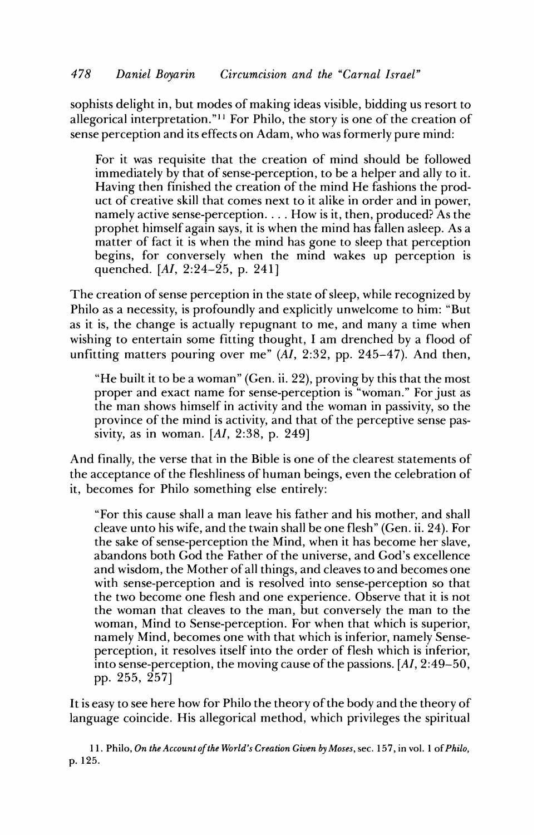**sophists delight in, but modes of making ideas visible, bidding us resort to allegorical interpretation."'' For Philo, the story is one of the creation of sense perception and its effects on Adam, who was formerly pure mind:** 

**For it was requisite that the creation of mind should be followed immediately by that of sense-perception, to be a helper and ally to it. Having then finished the creation of the mind He fashions the product of creative skill that comes next to it alike in order and in power, namely active sense-perception.... How is it, then, produced? As the prophet himself again says, it is when the mind has fallen asleep. As a matter of fact it is when the mind has gone to sleep that perception begins, for conversely when the mind wakes up perception is quenched. [AI, 2:24-25, p. 241]** 

**The creation of sense perception in the state of sleep, while recognized by Philo as a necessity, is profoundly and explicitly unwelcome to him: "But as it is, the change is actually repugnant to me, and many a time when wishing to entertain some fitting thought, I am drenched by a flood of unfitting matters pouring over me" (AI, 2:32, pp. 245-47). And then,** 

**"He built it to be a woman" (Gen. ii. 22), proving by this that the most proper and exact name for sense-perception is "woman." For just as the man shows himself in activity and the woman in passivity, so the province of the mind is activity, and that of the perceptive sense passivity, as in woman. [AI, 2:38, p. 249]** 

**And finally, the verse that in the Bible is one of the clearest statements of the acceptance of the fleshliness of human beings, even the celebration of it, becomes for Philo something else entirely:** 

**"For this cause shall a man leave his father and his mother, and shall cleave unto his wife, and the twain shall be one flesh" (Gen. ii. 24). For the sake of sense-perception the Mind, when it has become her slave, abandons both God the Father of the universe, and God's excellence and wisdom, the Mother of all things, and cleaves to and becomes one with sense-perception and is resolved into sense-perception so that the two become one flesh and one experience. Observe that it is not the woman that cleaves to the man, but conversely the man to the woman, Mind to Sense-perception. For when that which is superior, namely Mind, becomes one with that which is inferior, namely Senseperception, it resolves itself into the order of flesh which is inferior, into sense-perception, the moving cause of the passions. [AI, 2:49-50, pp. 255, 257]** 

**It is easy to see here how for Philo the theory of the body and the theory of language coincide. His allegorical method, which privileges the spiritual** 

**11. Philo, On the Account of the World's Creation Given by Moses, sec. 157, in vol. 1 of Philo, p. 125.**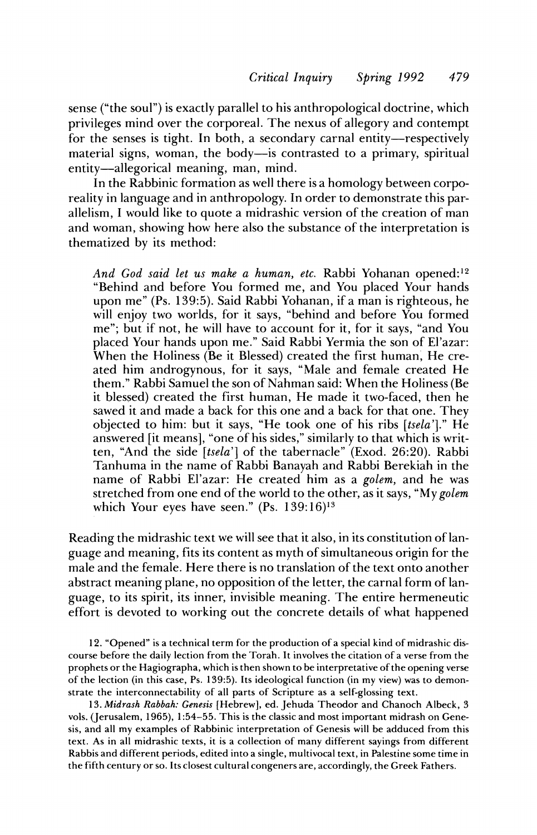**sense ("the soul") is exactly parallel to his anthropological doctrine, which privileges mind over the corporeal. The nexus of allegory and contempt**  for the senses is tight. In both, a secondary carnal entity—respectively material signs, woman, the body—is contrasted to a primary, spiritual **entity-allegorical meaning, man, mind.** 

**In the Rabbinic formation as well there is a homology between corporeality in language and in anthropology. In order to demonstrate this parallelism, I would like to quote a midrashic version of the creation of man and woman, showing how here also the substance of the interpretation is thematized by its method:** 

**And God said let us make a human, etc. Rabbi Yohanan opened:'2 "Behind and before You formed me, and You placed Your hands upon me" (Ps. 139:5). Said Rabbi Yohanan, if a man is righteous, he will enjoy two worlds, for it says, "behind and before You formed me"; but if not, he will have to account for it, for it says, "and You placed Your hands upon me." Said Rabbi Yermia the son of El'azar: When the Holiness (Be it Blessed) created the first human, He created him androgynous, for it says, "Male and female created He them." Rabbi Samuel the son of Nahman said: When the Holiness (Be it blessed) created the first human, He made it two-faced, then he sawed it and made a back for this one and a back for that one. They objected to him: but it says, "He took one of his ribs [tsela']." He answered [it means], "one of his sides," similarly to that which is written, "And the side [tsela'] of the tabernacle" (Exod. 26:20). Rabbi Tanhuma in the name of Rabbi Banayah and Rabbi Berekiah in the name of Rabbi El'azar: He created him as a golem, and he was stretched from one end of the world to the other, as it says, "My golem which Your eyes have seen." (Ps. 139:16)13** 

**Reading the midrashic text we will see that it also, in its constitution of language and meaning, fits its content as myth of simultaneous origin for the male and the female. Here there is no translation of the text onto another abstract meaning plane, no opposition of the letter, the carnal form of language, to its spirit, its inner, invisible meaning. The entire hermeneutic effort is devoted to working out the concrete details of what happened** 

**12. "Opened" is a technical term for the production of a special kind of midrashic discourse before the daily lection from the Torah. It involves the citation of a verse from the prophets or the Hagiographa, which is then shown to be interpretative of the opening verse of the lection (in this case, Ps. 139:5). Its ideological function (in my view) was to demonstrate the interconnectability of all parts of Scripture as a self-glossing text.** 

**13. Midrash Rabbah: Genesis [Hebrew], ed. Jehuda Theodor and Chanoch Albeck, 3 vols. (Jerusalem, 1965), 1:54-55. This is the classic and most important midrash on Genesis, and all my examples of Rabbinic interpretation of Genesis will be adduced from this text. As in all midrashic texts, it is a collection of many different sayings from different Rabbis and different periods, edited into a single, multivocal text, in Palestine some time in the fifth century or so. Its closest cultural congeners are, accordingly, the Greek Fathers.**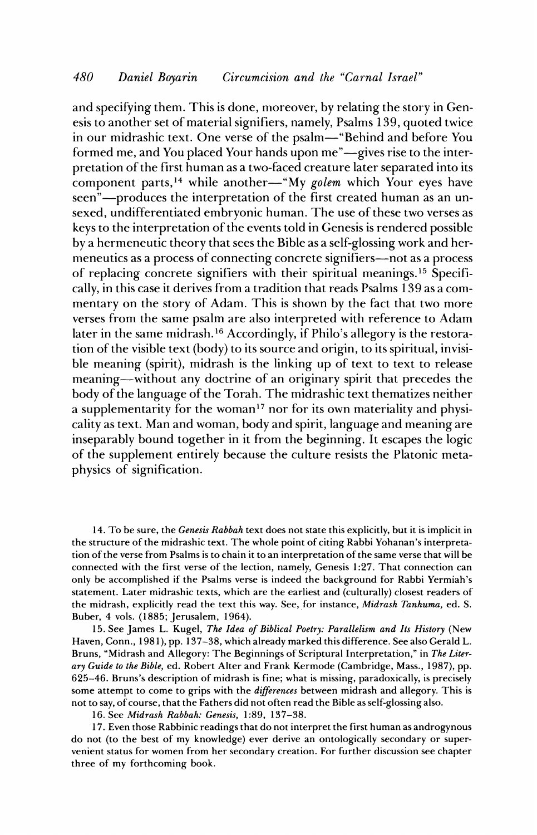**and specifying them. This is done, moreover, by relating the story in Genesis to another set of material signifiers, namely, Psalms 139, quoted twice in our midrashic text. One verse of the psalm-"Behind and before You**  formed me, and You placed Your hands upon me"—gives rise to the inter**pretation of the first human as a two-faced creature later separated into its component parts,<sup>14</sup> while another—"My golem which Your eyes have** seen"—produces the interpretation of the first created human as an un**sexed, undifferentiated embryonic human. The use of these two verses as keys to the interpretation of the events told in Genesis is rendered possible by a hermeneutic theory that sees the Bible as a self-glossing work and hermeneutics as a process of connecting concrete signifiers-not as a process of replacing concrete signifiers with their spiritual meanings.15 Specifically, in this case it derives from a tradition that reads Psalms 139 as a commentary on the story of Adam. This is shown by the fact that two more verses from the same psalm are also interpreted with reference to Adam later in the same midrash.16 Accordingly, if Philo's allegory is the restoration of the visible text (body) to its source and origin, to its spiritual, invisible meaning (spirit), midrash is the linking up of text to text to release meaning-without any doctrine of an originary spirit that precedes the body of the language of the Torah. The midrashic text thematizes neither a supplementarity for the woman'7 nor for its own materiality and physicality as text. Man and woman, body and spirit, language and meaning are inseparably bound together in it from the beginning. It escapes the logic of the supplement entirely because the culture resists the Platonic metaphysics of signification.** 

**14. To be sure, the Genesis Rabbah text does not state this explicitly, but it is implicit in the structure of the midrashic text. The whole point of citing Rabbi Yohanan's interpretation of the verse from Psalms is to chain it to an interpretation of the same verse that will be connected with the first verse of the lection, namely, Genesis 1:27. That connection can only be accomplished if the Psalms verse is indeed the background for Rabbi Yermiah's statement. Later midrashic texts, which are the earliest and (culturally) closest readers of the midrash, explicitly read the text this way. See, for instance, Midrash Tanhuma, ed. S. Buber, 4 vols. (1885; Jerusalem, 1964).** 

**15. See James L. Kugel, The Idea of Biblical Poetry: Parallelism and Its History (New Haven, Conn., 1981), pp. 137-38, which already marked this difference. See also Gerald L. Bruns, "Midrash and Allegory: The Beginnings of Scriptural Interpretation," in The Literary Guide to the Bible, ed. Robert Alter and Frank Kermode (Cambridge, Mass., 1987), pp. 625-46. Bruns's description of midrash is fine; what is missing, paradoxically, is precisely some attempt to come to grips with the differences between midrash and allegory. This is not to say, of course, that the Fathers did not often read the Bible as self-glossing also.** 

**16. See Midrash Rabbah: Genesis, 1:89, 137-38.** 

**17. Even those Rabbinic readings that do not interpret the first human as androgynous do not (to the best of my knowledge) ever derive an ontologically secondary or supervenient status for women from her secondary creation. For further discussion see chapter three of my forthcoming book.**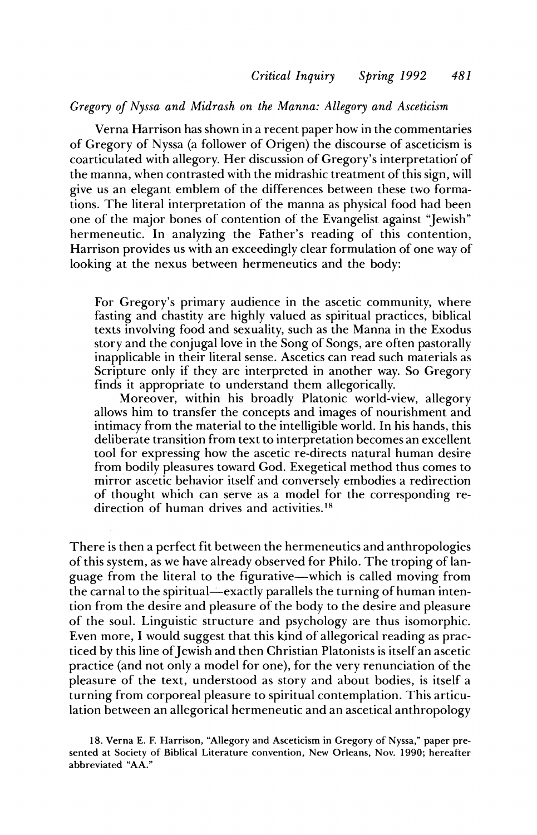## **Gregory of Nyssa and Midrash on the Manna: Allegory and Asceticism**

**Verna Harrison has shown in a recent paper how in the commentaries of Gregory of Nyssa (a follower of Origen) the discourse of asceticism is**  coarticulated with allegory. Her discussion of Gregory's interpretation of **the manna, when contrasted with the midrashic treatment of this sign, will give us an elegant emblem of the differences between these two formations. The literal interpretation of the manna as physical food had been one of the major bones of contention of the Evangelist against "Jewish" hermeneutic. In analyzing the Father's reading of this contention, Harrison provides us with an exceedingly clear formulation of one way of looking at the nexus between hermeneutics and the body:** 

**For Gregory's primary audience in the ascetic community, where fasting and chastity are highly valued as spiritual practices, biblical texts involving food and sexuality, such as the Manna in the Exodus story and the conjugal love in the Song of Songs, are often pastorally inapplicable in their literal sense. Ascetics can read such materials as Scripture only if they are interpreted in another way. So Gregory finds it appropriate to understand them allegorically.** 

**Moreover, within his broadly Platonic world-view, allegory allows him to transfer the concepts and images of nourishment and intimacy from the material to the intelligible world. In his hands, this deliberate transition from text to interpretation becomes an excellent tool for expressing how the ascetic re-directs natural human desire from bodily pleasures toward God. Exegetical method thus comes to mirror ascetic behavior itself and conversely embodies a redirection of thought which can serve as a model for the corresponding redirection of human drives and activities.'8** 

**There is then a perfect fit between the hermeneutics and anthropologies of this system, as we have already observed for Philo. The troping of language from the literal to the figurative-which is called moving from**  the carnal to the spiritual—exactly parallels the turning of human inten**tion from the desire and pleasure of the body to the desire and pleasure of the soul. Linguistic structure and psychology are thus isomorphic. Even more, I would suggest that this kind of allegorical reading as practiced by this line ofJewish and then Christian Platonists is itself an ascetic practice (and not only a model for one), for the very renunciation of the pleasure of the text, understood as story and about bodies, is itself a turning from corporeal pleasure to spiritual contemplation. This articulation between an allegorical hermeneutic and an ascetical anthropology** 

**<sup>18.</sup> Verna E. F. Harrison, "Allegory and Asceticism in Gregory of Nyssa," paper presented at Society of Biblical Literature convention, New Orleans, Nov. 1990; hereafter abbreviated "AA."**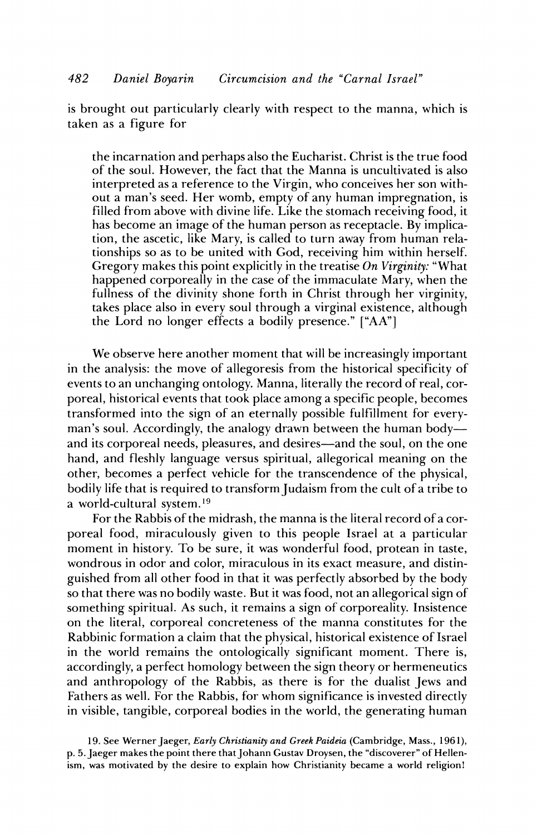**is brought out particularly clearly with respect to the manna, which is taken as a figure for** 

**the incarnation and perhaps also the Eucharist. Christ is the true food of the soul. However, the fact that the Manna is uncultivated is also interpreted as a reference to the Virgin, who conceives her son without a man's seed. Her womb, empty of any human impregnation, is filled from above with divine life. Like the stomach receiving food, it has become an image of the human person as receptacle. By implication, the ascetic, like Mary, is called to turn away from human relationships so as to be united with God, receiving him within herself. Gregory makes this point explicitly in the treatise On Virginity: "What happened corporeally in the case of the immaculate Mary, when the fullness of the divinity shone forth in Christ through her virginity, takes place also in every soul through a virginal existence, although the Lord no longer effects a bodily presence." ["AA"]** 

**We observe here another moment that will be increasingly important in the analysis: the move of allegoresis from the historical specificity of events to an unchanging ontology. Manna, literally the record of real, corporeal, historical events that took place among a specific people, becomes transformed into the sign of an eternally possible fulfillment for everyman's soul. Accordingly, the analogy drawn between the human bodyand its corporeal needs, pleasures, and desires-and the soul, on the one hand, and fleshly language versus spiritual, allegorical meaning on the other, becomes a perfect vehicle for the transcendence of the physical, bodily life that is required to transform Judaism from the cult of a tribe to a world-cultural system.19** 

**For the Rabbis of the midrash, the manna is the literal record of a corporeal food, miraculously given to this people Israel at a particular moment in history. To be sure, it was wonderful food, protean in taste, wondrous in odor and color, miraculous in its exact measure, and distinguished from all other food in that it was perfectly absorbed by the body so that there was no bodily waste. But it was food, not an allegorical sign of something spiritual. As such, it remains a sign of corporeality. Insistence on the literal, corporeal concreteness of the manna constitutes for the Rabbinic formation a claim that the physical, historical existence of Israel in the world remains the ontologically significant moment. There is, accordingly, a perfect homology between the sign theory or hermeneutics and anthropology of the Rabbis, as there is for the dualist Jews and Fathers as well. For the Rabbis, for whom significance is invested directly in visible, tangible, corporeal bodies in the world, the generating human** 

**19. See Werner Jaeger, Early Christianity and Greek Paideia (Cambridge, Mass., 1961),**  p. 5. Jaeger makes the point there that Johann Gustav Droysen, the "discoverer" of Hellen**ism, was motivated by the desire to explain how Christianity became a world religion!**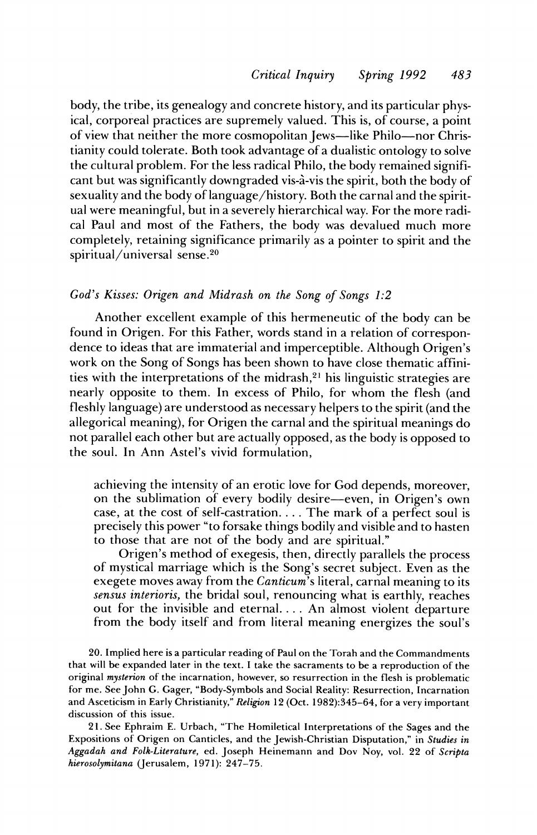**body, the tribe, its genealogy and concrete history, and its particular physical, corporeal practices are supremely valued. This is, of course, a point**  of view that neither the more cosmopolitan Jews-like Philo-nor Chris**tianity could tolerate. Both took advantage of a dualistic ontology to solve the cultural problem. For the less radical Philo, the body remained significant but was significantly downgraded vis-a-vis the spirit, both the body of sexuality and the body of language/history. Both the carnal and the spiritual were meaningful, but in a severely hierarchical way. For the more radical Paul and most of the Fathers, the body was devalued much more completely, retaining significance primarily as a pointer to spirit and the spiritual/universal sense.20** 

## **God's Kisses: Origen and Midrash on the Song of Songs 1:2**

**Another excellent example of this hermeneutic of the body can be found in Origen. For this Father, words stand in a relation of correspondence to ideas that are immaterial and imperceptible. Although Origen's work on the Song of Songs has been shown to have close thematic affini**ties with the interpretations of the midrash,<sup>21</sup> his linguistic strategies are **nearly opposite to them. In excess of Philo, for whom the flesh (and fleshly language) are understood as necessary helpers to the spirit (and the allegorical meaning), for Origen the carnal and the spiritual meanings do not parallel each other but are actually opposed, as the body is opposed to the soul. In Ann Astel's vivid formulation,** 

**achieving the intensity of an erotic love for God depends, moreover, on the sublimation of every bodily desire-even, in Origen's own case, at the cost of self-castration.... The mark of a perfect soul is precisely this power "to forsake things bodily and visible and to hasten to those that are not of the body and are spiritual."** 

**Origen's method of exegesis, then, directly parallels the process of mystical marriage which is the Song's secret subject. Even as the exegete moves away from the Canticum's literal, carnal meaning to its sensus interioris, the bridal soul, renouncing what is earthly, reaches out for the invisible and eternal.... An almost violent departure from the body itself and from literal meaning energizes the soul's** 

**20. Implied here is a particular reading of Paul on the Torah and the Commandments that will be expanded later in the text. I take the sacraments to be a reproduction of the original mysterion of the incarnation, however, so resurrection in the flesh is problematic for me. See John G. Gager, "Body-Symbols and Social Reality: Resurrection, Incarnation and Asceticism in Early Christianity," Religion 12 (Oct. 1982):345-64, for a very important discussion of this issue.** 

**21. See Ephraim E. Urbach, "The Homiletical Interpretations of the Sages and the Expositions of Origen on Canticles, and the Jewish-Christian Disputation," in Studies in Aggadah and Folk-Literature, ed. Joseph Heinemann and Dov Noy, vol. 22 of Scripta hierosolymitana (Jerusalem, 1971): 247-75.**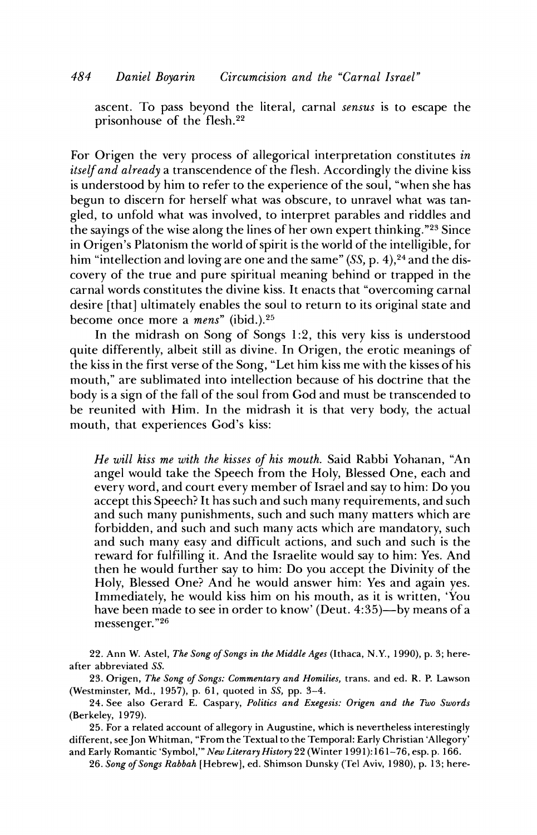**ascent. To pass beyond the literal, carnal sensus is to escape the prisonhouse of the flesh.22** 

**For Origen the very process of allegorical interpretation constitutes in itself and already a transcendence of the flesh. Accordingly the divine kiss is understood by him to refer to the experience of the soul, "when she has begun to discern for herself what was obscure, to unravel what was tangled, to unfold what was involved, to interpret parables and riddles and the sayings of the wise along the lines of her own expert thinking."23 Since in Origen's Platonism the world of spirit is the world of the intelligible, for**  him "intellection and loving are one and the same" (SS, p. 4),<sup>24</sup> and the dis**covery of the true and pure spiritual meaning behind or trapped in the carnal words constitutes the divine kiss. It enacts that "overcoming carnal desire [that] ultimately enables the soul to return to its original state and become once more a mens" (ibid.).25** 

**In the midrash on Song of Songs 1:2, this very kiss is understood quite differently, albeit still as divine. In Origen, the erotic meanings of the kiss in the first verse of the Song, "Let him kiss me with the kisses of his mouth," are sublimated into intellection because of his doctrine that the body is a sign of the fall of the soul from God and must be transcended to be reunited with Him. In the midrash it is that very body, the actual mouth, that experiences God's kiss:** 

**He will kiss me with the kisses of his mouth. Said Rabbi Yohanan, "An angel would take the Speech from the Holy, Blessed One, each and every word, and court every member of Israel and say to him: Do you accept this Speech? It has such and such many requirements, and such and such many punishments, such and such many matters which are forbidden, and such and such many acts which are mandatory, such and such many easy and difficult actions, and such and such is the reward for fulfilling it. And the Israelite would say to him: Yes. And then he would further say to him: Do you accept the Divinity of the Holy, Blessed One? And he would answer him: Yes and again yes. Immediately, he would kiss him on his mouth, as it is written, 'You**  have been made to see in order to know' (Deut. 4:35)—by means of a **messenger."26** 

**22. Ann W. Astel, The Song of Songs in the Middle Ages (Ithaca, N.Y., 1990), p. 3; hereafter abbreviated SS.** 

**26. Song of Songs Rabbah [Hebrew], ed. Shimson Dunsky (Tel Aviv, 1980), p. 13; here-**

**<sup>23.</sup> Origen, The Song of Songs: Commentary and Homilies, trans. and ed. R. P. Lawson (Westminster, Md., 1957), p. 61, quoted in SS, pp. 3-4.** 

**<sup>24.</sup> See also Gerard E. Caspary, Politics and Exegesis: Origen and the Two Swords (Berkeley, 1979).** 

**<sup>25.</sup> For a related account of allegory in Augustine, which is nevertheless interestingly different, seeJon Whitman, "From the Textual to the Temporal: Early Christian 'Allegory' and Early Romantic 'Symbol,"' New Literary History 22 (Winter 1991): 161-76, esp. p. 166.**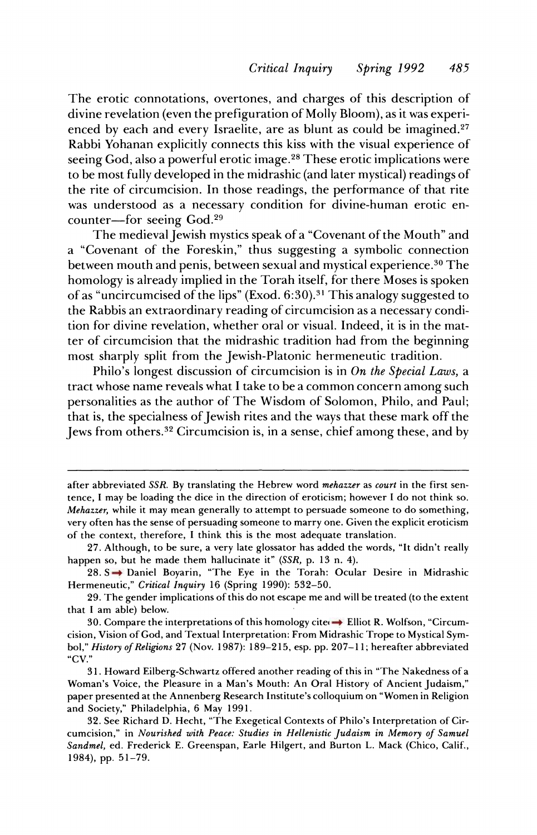**The erotic connotations, overtones, and charges of this description of divine revelation (even the prefiguration of Molly Bloom), as it was experienced by each and every Israelite, are as blunt as could be imagined.27 Rabbi Yohanan explicitly connects this kiss with the visual experience of seeing God, also a powerful erotic image.28 These erotic implications were to be most fully developed in the midrashic (and later mystical) readings of the rite of circumcision. In those readings, the performance of that rite was understood as a necessary condition for divine-human erotic encounter-for seeing God.29** 

**The medieval Jewish mystics speak of a "Covenant of the Mouth" and a "Covenant of the Foreskin," thus suggesting a symbolic connection between mouth and penis, between sexual and mystical experience.30 The homology is already implied in the Torah itself, for there Moses is spoken of as "uncircumcised of the lips" (Exod. 6:30).31 This analogy suggested to the Rabbis an extraordinary reading of circumcision as a necessary condition for divine revelation, whether oral or visual. Indeed, it is in the matter of circumcision that the midrashic tradition had from the beginning most sharply split from the Jewish-Platonic hermeneutic tradition.** 

**Philo's longest discussion of circumcision is in On the Special Laws, a tract whose name reveals what I take to be a common concern among such personalities as the author of The Wisdom of Solomon, Philo, and Paul; that is, the specialness of Jewish rites and the ways that these mark off the Jews from others.32 Circumcision is, in a sense, chief among these, and by** 

**after abbreviated SSR. By translating the Hebrew word mehazzer as court in the first sentence, I may be loading the dice in the direction of eroticism; however I do not think so. Mehazzer, while it may mean generally to attempt to persuade someone to do something, very often has the sense of persuading someone to marry one. Given the explicit eroticism of the context, therefore, I think this is the most adequate translation.** 

**<sup>27.</sup> Although, to be sure, a very late glossator has added the words, "It didn't really happen so, but he made them hallucinate it" (SSR, p. 13 n. 4).** 

<sup>28.</sup> S<sub>-</sub>> Daniel Boyarin, "The Eye in the Torah: Ocular Desire in Midrashic **Hermeneutic," Critical Inquiry 16 (Spring 1990): 532-50.** 

**<sup>29.</sup> The gender implications of this do not escape me and will be treated (to the extent that I am able) below.** 

<sup>30.</sup> Compare the interpretations of this homology cite  $\rightarrow$  Elliot R. Wolfson, "Circum**cision, Vision of God, and Textual Interpretation: From Midrashic Trope to Mystical Symbol," History of Religions 27 (Nov. 1987): 189-215, esp. pp. 207-11; hereafter abbreviated "CV."** 

**<sup>31.</sup> Howard Eilberg-Schwartz offered another reading of this in "The Nakedness of a Woman's Voice, the Pleasure in a Man's Mouth: An Oral History of Ancient Judaism," paper presented at the Annenberg Research Institute's colloquium on "Women in Religion and Society," Philadelphia, 6 May 1991.** 

**<sup>32.</sup> See Richard D. Hecht, "The Exegetical Contexts of Philo's Interpretation of Circumcision," in Nourished with Peace: Studies in Hellenistic Judaism in Memory of Samuel Sandmel, ed. Frederick E. Greenspan, Earle Hilgert, and Burton L. Mack (Chico, Calif., 1984), pp. 51-79.**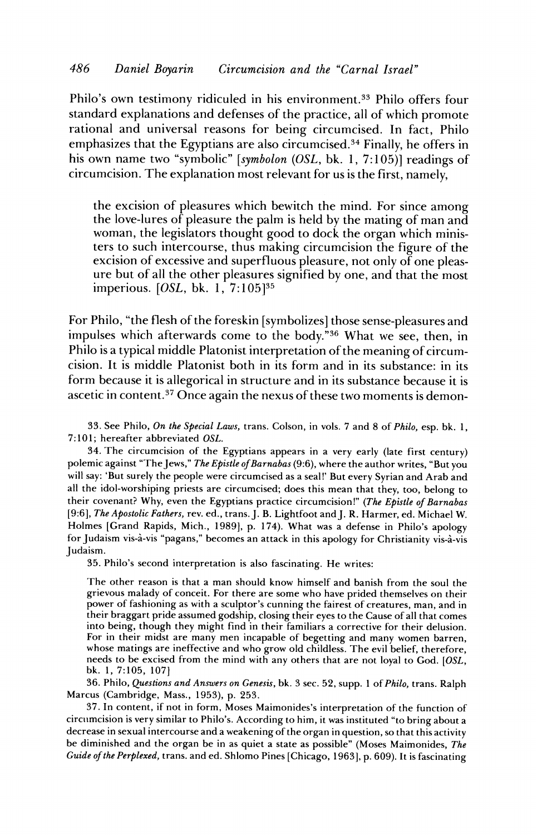**Philo's own testimony ridiculed in his environment.33 Philo offers four standard explanations and defenses of the practice, all of which promote rational and universal reasons for being circumcised. In fact, Philo emphasizes that the Egyptians are also circumcised.34 Finally, he offers in his own name two "symbolic" [symbolon (OSL, bk. 1, 7:105)] readings of circumcision. The explanation most relevant for us is the first, namely,** 

**the excision of pleasures which bewitch the mind. For since among the love-lures of pleasure the palm is held by the mating of man and woman, the legislators thought good to dock the organ which ministers to such intercourse, thus making circumcision the figure of the excision of excessive and superfluous pleasure, not only of one pleasure but of all the other pleasures signified by one, and that the most imperious. [OSL, bk. 1, 7:105]35** 

**For Philo, "the flesh of the foreskin [symbolizes] those sense-pleasures and impulses which afterwards come to the body."36 What we see, then, in Philo is a typical middle Platonist interpretation of the meaning of circumcision. It is middle Platonist both in its form and in its substance: in its form because it is allegorical in structure and in its substance because it is ascetic in content.37 Once again the nexus of these two moments is demon-**

**33. See Philo, On the Special Laws, trans. Colson, in vols. 7 and 8 of Philo, esp. bk. 1, 7:101; hereafter abbreviated OSL.** 

**34. The circumcision of the Egyptians appears in a very early (late first century) polemic against "TheJews," The Epistle of Barnabas (9:6), where the author writes, "But you will say: 'But surely the people were circumcised as a seal!' But every Syrian and Arab and all the idol-worshiping priests are circumcised; does this mean that they, too, belong to their covenant? Why, even the Egyptians practice circumcision!" (The Epistle of Barnabas [9:6], The Apostolic Fathers, rev. ed., trans. J. B. Lightfoot andJ. R. Harmer, ed. Michael W. Holmes [Grand Rapids, Mich., 1989], p. 174). What was a defense in Philo's apology for Judaism vis-a-vis "pagans," becomes an attack in this apology for Christianity vis-a-vis Judaism.** 

**35. Philo's second interpretation is also fascinating. He writes:** 

**The other reason is that a man should know himself and banish from the soul the grievous malady of conceit. For there are some who have prided themselves on their power of fashioning as with a sculptor's cunning the fairest of creatures, man, and in their braggart pride assumed godship, closing their eyes to the Cause of all that comes into being, though they might find in their familiars a corrective for their delusion. For in their midst are many men incapable of begetting and many women barren, whose matings are ineffective and who grow old childless. The evil belief, therefore, needs to be excised from the mind with any others that are not loyal to God. [OSL, bk. 1, 7:105, 107]** 

**36. Philo, Questions and Answers on Genesis, bk. 3 sec. 52, supp. 1 of Philo, trans. Ralph Marcus (Cambridge, Mass., 1953), p. 253.** 

**37. In content, if not in form, Moses Maimonides's interpretation of the function of circulmcision is very similar to Philo's. According to him, it was instituted "to bring about a decrease in sexual intercourse and a weakening of the organ in question, so that this activity be diminished and the organ be in as quiet a state as possible" (Moses Maimonides, The Guide of the Perplexed, trans. and ed. Shlomo Pines [Chicago, 1963], p. 609). It is fascinating**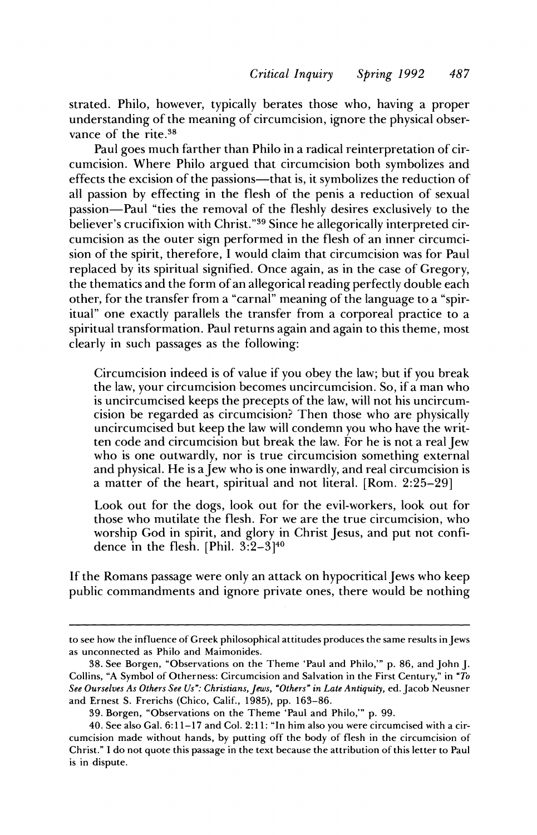**strated. Philo, however, typically berates those who, having a proper understanding of the meaning of circumcision, ignore the physical observance of the rite.38** 

**Paul goes much farther than Philo in a radical reinterpretation of circumcision. Where Philo argued that circumcision both symbolizes and effects the excision of the passions-that is, it symbolizes the reduction of all passion by effecting in the flesh of the penis a reduction of sexual passion-Paul "ties the removal of the fleshly desires exclusively to the believer's crucifixion with Christ."39 Since he allegorically interpreted circumcision as the outer sign performed in the flesh of an inner circumcision of the spirit, therefore, I would claim that circumcision was for Paul replaced by its spiritual signified. Once again, as in the case of Gregory, the thematics and the form of an allegorical reading perfectly double each other, for the transfer from a "carnal" meaning of the language to a "spiritual" one exactly parallels the transfer from a corporeal practice to a spiritual transformation. Paul returns again and again to this theme, most clearly in such passages as the following:** 

**Circumcision indeed is of value if you obey the law; but if you break the law, your circumcision becomes uncircumcision. So, if a man who is uncircumcised keeps the precepts of the law, will not his uncircumcision be regarded as circumcision? Then those who are physically uncircumcised but keep the law will condemn you who have the written code and circumcision but break the law. For he is not a real Jew who is one outwardly, nor is true circumcision something external**  and physical. He is a Jew who is one inwardly, and real circumcision is **a matter of the heart, spiritual and not literal. [Rom. 2:25-29]** 

**Look out for the dogs, look out for the evil-workers, look out for those who mutilate the flesh. For we are the true circumcision, who worship God in spirit, and glory in Christ Jesus, and put not confidence in the flesh. [Phil. 3:2-3]40** 

**If the Romans passage were only an attack on hypocritical Jews who keep public commandments and ignore private ones, there would be nothing** 

**to see how the influence of Greek philosophical attitudes produces the same results in Jews as unconnected as Philo and Maimonides.** 

**<sup>38.</sup> See Borgen, "Observations on the Theme 'Paul and Philo,"' p. 86, and John J. Collins, "A Symbol of Otherness: Circumcision and Salvation in the First Century," in "To See Ourselves As Others See Us": Christians, Jews, "Others" in Late Antiquity, ed. Jacob Neusner and Ernest S. Frerichs (Chico, Calif., 1985), pp. 163-86.** 

**<sup>39.</sup> Borgen, "Observations on the Theme 'Paul and Philo,"' p. 99.** 

**<sup>40.</sup> See also Gal. 6:11-17 and Col. 2:11: "In him also you were circumcised with a circumcision made without hands, by putting off the body of flesh in the circumcision of Christ." I do not quote this passage in the text because the attribution of this letter to Paul is in dispute.**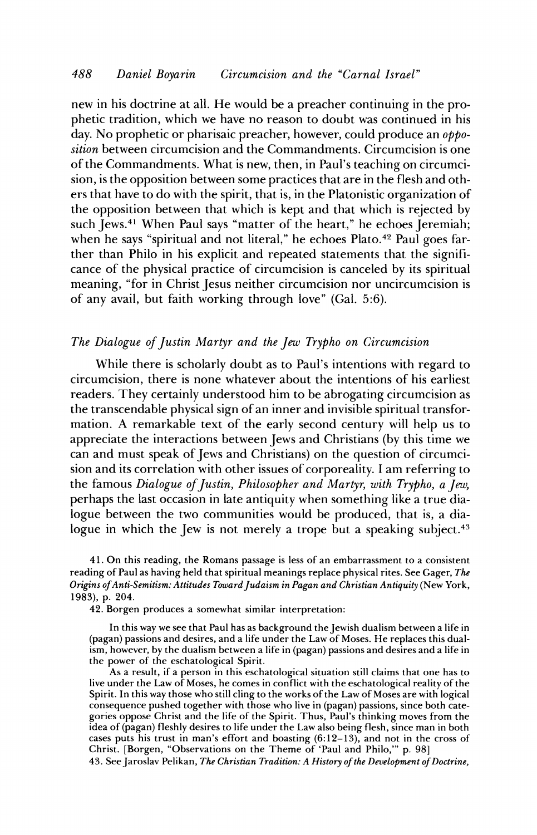**new in his doctrine at all. He would be a preacher continuing in the prophetic tradition, which we have no reason to doubt was continued in his**  day. No prophetic or pharisaic preacher, however, could produce an *oppo***sition between circumcision and the Commandments. Circumcision is one of the Commandments. What is new, then, in Paul's teaching on circumcision, is the opposition between some practices that are in the flesh and others that have to do with the spirit, that is, in the Platonistic organization of the opposition between that which is kept and that which is rejected by**  such Jews.<sup>41</sup> When Paul says "matter of the heart," he echoes Jeremiah; when he says "spiritual and not literal," he echoes Plato.<sup>42</sup> Paul goes far**ther than Philo in his explicit and repeated statements that the significance of the physical practice of circumcision is canceled by its spiritual meaning, "for in Christ Jesus neither circumcision nor uncircumcision is of any avail, but faith working through love" (Gal. 5:6).** 

## **The Dialogue of Justin Martyr and the Jew Trypho on Circumcision**

**While there is scholarly doubt as to Paul's intentions with regard to circumcision, there is none whatever about the intentions of his earliest readers. They certainly understood him to be abrogating circumcision as the transcendable physical sign of an inner and invisible spiritual transformation. A remarkable text of the early second century will help us to appreciate the interactions between Jews and Christians (by this time we can and must speak of Jews and Christians) on the question of circumcision and its correlation with other issues of corporeality. I am referring to**  the famous Dialogue of Justin, Philosopher and Martyr, with Trypho, a Jew, **perhaps the last occasion in late antiquity when something like a true dialogue between the two communities would be produced, that is, a dia**logue in which the Jew is not merely a trope but a speaking subject.<sup>43</sup>

**41. On this reading, the Romans passage is less of an embarrassment to a consistent reading of Paul as having held that spiritual meanings replace physical rites. See Gager, The Origins ofAnti-Semitism: Attitudes Toward Judaism in Pagan and Christian Antiquity (New York, 1983), p. 204.** 

**42. Borgen produces a somewhat similar interpretation:** 

In this way we see that Paul has as background the Jewish dualism between a life in **(pagan) passions and desires, and a life under the Law of Moses. He replaces this dualism, however, by the dualism between a life in (pagan) passions and desires and a life in the power of the eschatological Spirit.** 

**As a result, if a person in this eschatological situation still claims that one has to live under the Law of Moses, he comes in conflict with the eschatological reality of the Spirit. In this way those who still cling to the works of the Law of Moses are with logical consequence pushed together with those who live in (pagan) passions, since both categories oppose Christ and the life of the Spirit. Thus, Paul's thinking moves from the idea of (pagan) fleshly desires to life under the Law also being flesh, since man in both cases puts his trust in man's effort and boasting (6:12-13), and not in the cross of Christ. [Borgen, "Observations on the Theme of 'Paul and Philo,"' p. 98]** 

**43. See Jaroslav Pelikan, The Christian Tradition: A History of the Development of Doctrine,**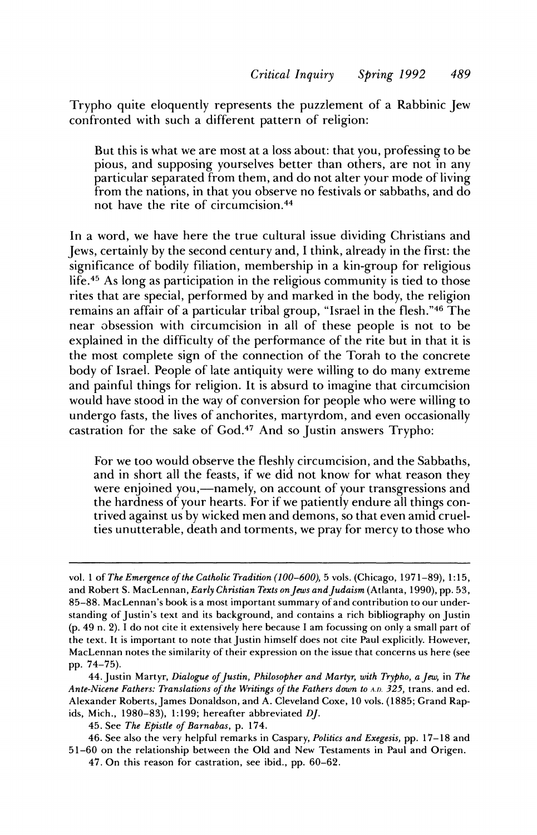**Trypho quite eloquently represents the puzzlement of a Rabbinic Jew confronted with such a different pattern of religion:** 

**But this is what we are most at a loss about: that you, professing to be pious, and supposing yourselves better than others, are not in any particular separated from them, and do not alter your mode of living from the nations, in that you observe no festivals or sabbaths, and do not have the rite of circumcision.44** 

**In a word, we have here the true cultural issue dividing Christians and Jews, certainly by the second century and, I think, already in the first: the significance of bodily filiation, membership in a kin-group for religious life.45 As long as participation in the religious community is tied to those rites that are special, performed by and marked in the body, the religion remains an affair of a particular tribal group, "Israel in the flesh."46 The near obsession with circumcision in all of these people is not to be explained in the difficulty of the performance of the rite but in that it is the most complete sign of the connection of the Torah to the concrete body of Israel. People of late antiquity were willing to do many extreme and painful things for religion. It is absurd to imagine that circumcision would have stood in the way of conversion for people who were willing to undergo fasts, the lives of anchorites, martyrdom, and even occasionally castration for the sake of God.47 And so Justin answers Trypho:** 

**For we too would observe the fleshly circumcision, and the Sabbaths, and in short all the feasts, if we did not know for what reason they**  were enjoined you,—namely, on account of your transgressions and **the hardness of your hearts. For if we patiently endure all things contrived against us by wicked men and demons, so that even amid cruelties unutterable, death and torments, we pray for mercy to those who** 

**vol. 1 of The Emergence of the Catholic Tradition (100-600), 5 vols. (Chicago, 1971-89), 1:15, and Robert S. MacLennan, Early Christian Texts on Jews and Judaism (Atlanta, 1990), pp. 53, 85-88. MacLennan's book is a most important summary of and contribution to our understanding of Justin's text and its background, and contains a rich bibliography on Justin (p. 49 n. 2). I do not cite it extensively here because I am focussing on only a small part of the text. It is important to note that Justin himself does not cite Paul explicitly. However, MacLennan notes the similarity of their expression on the issue that concerns us here (see pp. 74-75).** 

**<sup>44.</sup> Justin Martyr, Dialogue of Justin, Philosopher and Martyr, with Trypho, a Jew, in The Ante-Nicene Fathers: Translations of the Writings of the Fathers down to A.D. 325, trans. and ed. Alexander Roberts, James Donaldson, and A. Cleveland Coxe, 10 vols. (1885; Grand Rapids, Mich., 1980-83), 1:199; hereafter abbreviated DJ.** 

**<sup>45.</sup> See The Epistle of Barnabas, p. 174.** 

**<sup>46.</sup> See also the very helpful remarks in Caspary, Politics and Exegesis, pp. 17-18 and 51-60 on the relationship between the Old and New Testaments in Paul and Origen.** 

**<sup>47.</sup> On this reason for castration, see ibid., pp. 60-62.**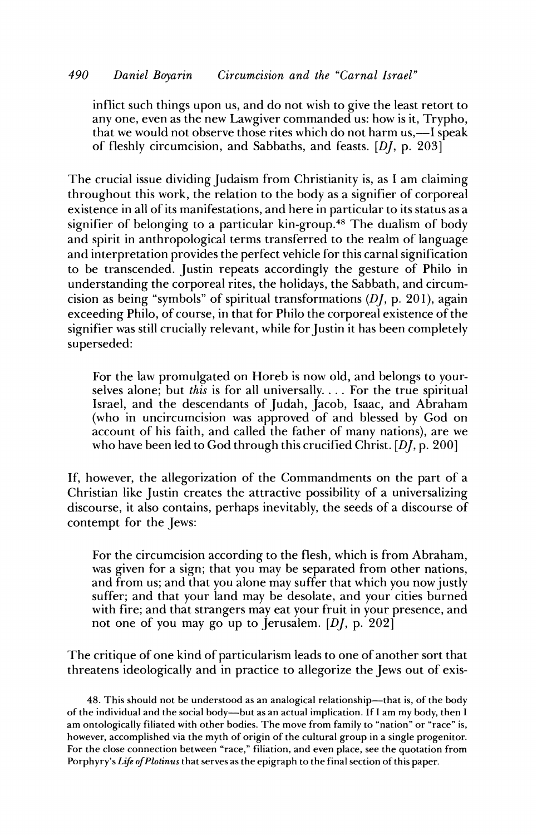**inflict such things upon us, and do not wish to give the least retort to any one, even as the new Lawgiver commanded us: how is it, Trypho, that we would not observe those rites which do not harm us,-I speak of fleshly circumcision, and Sabbaths, and feasts. [DJ, p. 203]** 

**The crucial issue dividing Judaism from Christianity is, as I am claiming throughout this work, the relation to the body as a signifier of corporeal existence in all of its manifestations, and here in particular to its status as a signifier of belonging to a particular kin-group.48 The dualism of body and spirit in anthropological terms transferred to the realm of language and interpretation provides the perfect vehicle for this carnal signification to be transcended. Justin repeats accordingly the gesture of Philo in understanding the corporeal rites, the holidays, the Sabbath, and circumcision as being "symbols" of spiritual transformations (DJ, p. 201), again exceeding Philo, of course, in that for Philo the corporeal existence of the**  signifier was still crucially relevant, while for Justin it has been completely **superseded:** 

**For the law promulgated on Horeb is now old, and belongs to yourselves alone; but this is for all universally.... For the true spiritual Israel, and the descendants of Judah, Jacob, Isaac, and Abraham (who in uncircumcision was approved of and blessed by God on account of his faith, and called the father of many nations), are we who have been led to God through this crucified Christ. [DJ, p. 200]** 

**If, however, the allegorization of the Commandments on the part of a Christian like Justin creates the attractive possibility of a universalizing discourse, it also contains, perhaps inevitably, the seeds of a discourse of contempt for the Jews:** 

**For the circumcision according to the flesh, which is from Abraham, was given for a sign; that you may be separated from other nations, and from us; and that you alone may suffer that which you now justly suffer; and that your land may be desolate, and your cities burned with fire; and that strangers may eat your fruit in your presence, and not one of you may go up to Jerusalem. [DJ, p. 202]** 

**The critique of one kind of particularism leads to one of another sort that threatens ideologically and in practice to allegorize the Jews out of exis-**

**48.** This should not be understood as an analogical relationship—that is, of the body **of the individual and the social body-but as an actual implication. If I am my body, then I am ontologically filiated with other bodies. The move from family to "nation" or "race" is, however, accomplished via the myth of origin of the cultural group in a single progenitor. For the close connection between "race," filiation, and even place, see the quotation from Porphyry's Life ofPlotinus that serves as the epigraph to the final section of this paper.**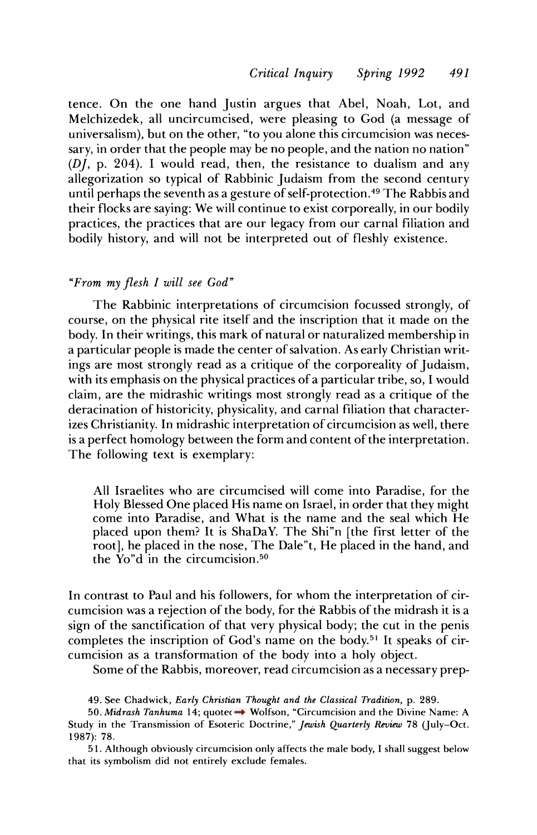**tence. On the one hand Justin argues that Abel, Noah, Lot, and Melchizedek, all uncircumcised, were pleasing to God (a message of universalism), but on the other, "to you alone this circumcision was necessary, in order that the people may be no people, and the nation no nation" (DJ, p. 204). I would read, then, the resistance to dualism and any allegorization so typical of Rabbinic Judaism from the second century until perhaps the seventh as a gesture of self-protection.49 The Rabbis and their flocks are saying: We will continue to exist corporeally, in our bodily practices, the practices that are our legacy from our carnal filiation and bodily history, and will not be interpreted out of fleshly existence.** 

#### **"From my flesh I will see God"**

**The Rabbinic interpretations of circumcision focussed strongly, of course, on the physical rite itself and the inscription that it made on the body. In their writings, this mark of natural or naturalized membership in a particular people is made the center of salvation. As early Christian writings are most strongly read as a critique of the corporeality of Judaism, with its emphasis on the physical practices of a particular tribe, so, I would claim, are the midrashic writings most strongly read as a critique of the deracination of historicity, physicality, and carnal filiation that characterizes Christianity. In midrashic interpretation of circumcision as well, there is a perfect homology between the form and content of the interpretation. The following text is exemplary:** 

**All Israelites who are circumcised will come into Paradise, for the Holy Blessed One placed His name on Israel, in order that they might come into Paradise, and What is the name and the seal which He placed upon them? It is ShaDaY. The Shi"n [the first letter of the root], he placed in the nose, The Dale"t, He placed in the hand, and the Yo"d in the circumcision.50** 

**In contrast to Paul and his followers, for whom the interpretation of circumcision was a rejection of the body, for the Rabbis of the midrash it is a sign of the sanctification of that very physical body; the cut in the penis completes the inscription of God's name on the body.51 It speaks of circumcision as a transformation of the body into a holy object.** 

**Some of the Rabbis, moreover, read circumcision as a necessary prep-**

**49. See Chadwick, Early Christian Thought and the Classical Tradition, p. 289.** 

50. Midrash Tanhuma 14; quotec → Wolfson, "Circumcision and the Divine Name: A **Study in the Transmission of Esoteric Doctrine," Jewish Quarterly Review 78 (July-Oct. 1987): 78.** 

**51. Although obviously circumcision only affects the male body, I shall suggest below that its symbolism did not entirely exclude females.**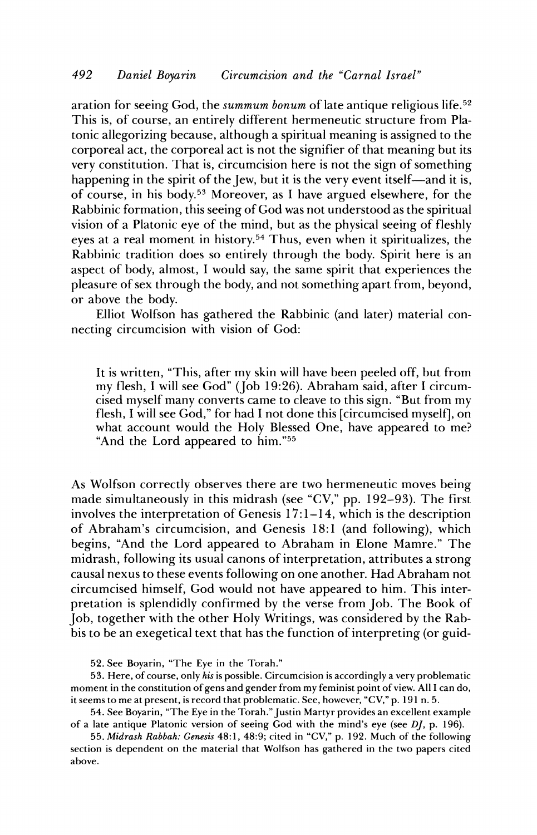**aration for seeing God, the summum bonum of late antique religious life.52 This is, of course, an entirely different hermeneutic structure from Platonic allegorizing because, although a spiritual meaning is assigned to the corporeal act, the corporeal act is not the signifier of that meaning but its very constitution. That is, circumcision here is not the sign of something**  happening in the spirit of the Jew, but it is the very event itself—and it is, **of course, in his body.53 Moreover, as I have argued elsewhere, for the Rabbinic formation, this seeing of God was not understood as the spiritual vision of a Platonic eye of the mind, but as the physical seeing of fleshly eyes at a real moment in history.54 Thus, even when it spiritualizes, the Rabbinic tradition does so entirely through the body. Spirit here is an aspect of body, almost, I would say, the same spirit that experiences the pleasure of sex through the body, and not something apart from, beyond, or above the body.** 

**Elliot Wolfson has gathered the Rabbinic (and later) material connecting circumcision with vision of God:** 

**It is written, "This, after my skin will have been peeled off, but from my flesh, I will see God" (Job 19:26). Abraham said, after I circumcised myself many converts came to cleave to this sign. "But from my flesh, I will see God," for had I not done this [circumcised myself], on what account would the Holy Blessed One, have appeared to me? "And the Lord appeared to him."55** 

**As Wolfson correctly observes there are two hermeneutic moves being made simultaneously in this midrash (see "CV," pp. 192-93). The first involves the interpretation of Genesis 17:1-14, which is the description of Abraham's circumcision, and Genesis 18:1 (and following), which begins, "And the Lord appeared to Abraham in Elone Mamre." The midrash, following its usual canons of interpretation, attributes a strong causal nexus to these events following on one another. Had Abraham not circumcised himself, God would not have appeared to him. This interpretation is splendidly confirmed by the verse from Job. The Book of Job, together with the other Holy Writings, was considered by the Rabbis to be an exegetical text that has the function of interpreting (or guid-**

**52. See Boyarin, "The Eye in the Torah."** 

**53. Here, of course, only his is possible. Circumcision is accordingly a very problematic moment in the constitution of gens and gender from my feminist point of view. All I can do, it seems to me at present, is record that problematic. See, however, "CV," p. 191 n. 5.** 

**54. See Boyarin, "The Eye in the Torah." Justin Martyr provides an excellent example of a late antique Platonic version of seeing God with the mind's eye (see DJ, p. 196).** 

**55. Midrash Rabbah: Genesis 48:1, 48:9; cited in "CV," p. 192. Much of the following section is dependent on the material that Wolfson has gathered in the two papers cited above.**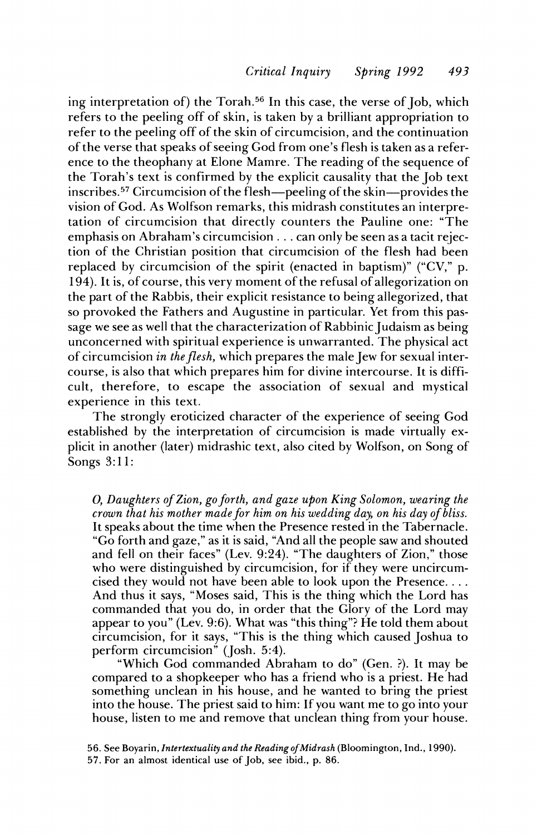**ing interpretation of) the Torah.56 In this case, the verse of Job, which refers to the peeling off of skin, is taken by a brilliant appropriation to refer to the peeling off of the skin of circumcision, and the continuation of the verse that speaks of seeing God from one's flesh is taken as a reference to the theophany at Elone Mamre. The reading of the sequence of the Torah's text is confirmed by the explicit causality that the Job text inscribes.57 Circumcision of the flesh-peeling of the skin-provides the vision of God. As Wolfson remarks, this midrash constitutes an interpretation of circumcision that directly counters the Pauline one: "The emphasis on Abraham's circumcision ... can only be seen as a tacit rejection of the Christian position that circumcision of the flesh had been replaced by circumcision of the spirit (enacted in baptism)" ("CV," p. 194). It is, of course, this very moment of the refusal of allegorization on the part of the Rabbis, their explicit resistance to being allegorized, that so provoked the Fathers and Augustine in particular. Yet from this pas**sage we see as well that the characterization of Rabbinic Judaism as being **unconcerned with spiritual experience is unwarranted. The physical act of circumcision in the flesh, which prepares the male Jew for sexual intercourse, is also that which prepares him for divine intercourse. It is difficult, therefore, to escape the association of sexual and mystical experience in this text.** 

**The strongly eroticized character of the experience of seeing God established by the interpretation of circumcision is made virtually explicit in another (later) midrashic text, also cited by Wolfson, on Song of Songs 3:11:** 

**O, Daughters of Zion, go forth, and gaze upon King Solomon, wearing the**  crown that his mother made for him on his wedding day, on his day of bliss. **It speaks about the time when the Presence rested in the Tabernacle. "Go forth and gaze," as it is said, "And all the people saw and shouted and fell on their faces" (Lev. 9:24). "The daughters of Zion," those who were distinguished by circumcision, for if they were uncircumcised they would not have been able to look upon the Presence.... And thus it says, "Moses said, This is the thing which the Lord has commanded that you do, in order that the Glory of the Lord may appear to you" (Lev. 9:6). What was "this thing"? He told them about circumcision, for it says, "This is the thing which caused Joshua to perform circumcision" (Josh. 5:4).** 

**"Which God commanded Abraham to do" (Gen. ?). It may be compared to a shopkeeper who has a friend who is a priest. He had something unclean in his house, and he wanted to bring the priest into the house. The priest said to him: If you want me to go into your house, listen to me and remove that unclean thing from your house.** 

56. See Boyarin, *Intertextuality and the Reading of Midrash* (Bloomington, Ind., 1990). **57. For an almost identical use of Job, see ibid., p. 86.**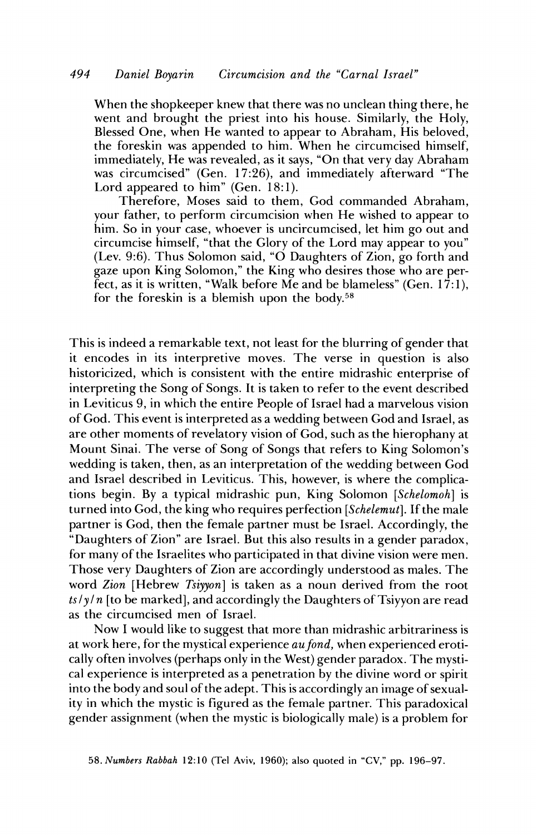**When the shopkeeper knew that there was no unclean thing there, he went and brought the priest into his house. Similarly, the Holy, Blessed One, when He wanted to appear to Abraham, His beloved, the foreskin was appended to him. When he circumcised himself, immediately, He was revealed, as it says, "On that very day Abraham was circumcised" (Gen. 17:26), and immediately afterward "The Lord appeared to him" (Gen. 18:1).** 

**Therefore, Moses said to them, God commanded Abraham, your father, to perform circumcision when He wished to appear to him. So in your case, whoever is uncircumcised, let him go out and circumcise himself, "that the Glory of the Lord may appear to you" (Lev. 9:6). Thus Solomon said, "O Daughters of Zion, go forth and gaze upon King Solomon," the King who desires those who are perfect, as it is written, "Walk before Me and be blameless" (Gen. 17:1), for the foreskin is a blemish upon the body.58** 

**This is indeed a remarkable text, not least for the blurring of gender that it encodes in its interpretive moves. The verse in question is also historicized, which is consistent with the entire midrashic enterprise of interpreting the Song of Songs. It is taken to refer to the event described in Leviticus 9, in which the entire People of Israel had a marvelous vision of God. This event is interpreted as a wedding between God and Israel, as are other moments of revelatory vision of God, such as the hierophany at Mount Sinai. The verse of Song of Songs that refers to King Solomon's wedding is taken, then, as an interpretation of the wedding between God and Israel described in Leviticus. This, however, is where the complications begin. By a typical midrashic pun, King Solomon [Schelomoh] is turned into God, the king who requires perfection [Schelemut]. If the male partner is God, then the female partner must be Israel. Accordingly, the "Daughters of Zion" are Israel. But this also results in a gender paradox, for many of the Israelites who participated in that divine vision were men. Those very Daughters of Zion are accordingly understood as males. The word Zion [Hebrew Tsiyyon] is taken as a noun derived from the root ts y /n [to be marked], and accordingly the Daughters of Tsiyyon are read as the circumcised men of Israel.** 

**Now I would like to suggest that more than midrashic arbitrariness is at work here, for the mystical experience aufond, when experienced erotically often involves (perhaps only in the West) gender paradox. The mystical experience is interpreted as a penetration by the divine word or spirit into the body and soul of the adept. This is accordingly an image of sexuality in which the mystic is figured as the female partner. This paradoxical gender assignment (when the mystic is biologically male) is a problem for**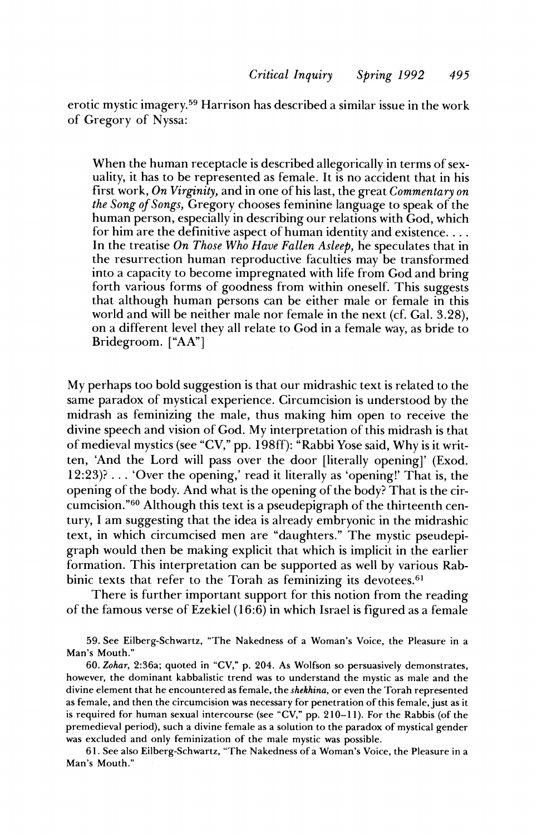**erotic mystic imagery.59 Harrison has described a similar issue in the work of Gregory of Nyssa:** 

**When the human receptacle is described allegorically in terms of sexuality, it has to be represented as female. It is no accident that in his first work, On Virginity, and in one of his last, the great Commentary on the Song of Songs, Gregory chooses feminine language to speak of the human person, especially in describing our relations with God, which for him are the definitive aspect of human identity and existence.... In the treatise On Those Who Have Fallen Asleep, he speculates that in the resurrection human reproductive faculties may be transformed into a capacity to become impregnated with life from God and bring forth various forms of goodness from within oneself. This suggests that although human persons can be either male or female in this world and will be neither male nor female in the next (cf. Gal. 3.28), on a different level they all relate to God in a female way, as bride to Bridegroom. ["AA"]** 

**My perhaps too bold suggestion is that our midrashic text is related to the same paradox of mystical experience. Circumcision is understood by the midrash as feminizing the male, thus making him open to receive the divine speech and vision of God. My interpretation of this midrash is that of medieval mystics (see "CV," pp. 198ff): "Rabbi Yose said, Why is it written, 'And the Lord will pass over the door [literally opening]' (Exod. 12:23)? ... 'Over the opening,' read it literally as 'opening!' That is, the opening of the body. And what is the opening of the body? That is the circumcision."60 Although this text is a pseudepigraph of the thirteenth century, I am suggesting that the idea is already embryonic in the midrashic text, in which circumcised men are "daughters." The mystic pseudepigraph would then be making explicit that which is implicit in the earlier formation. This interpretation can be supported as well by various Rab**binic texts that refer to the Torah as feminizing its devotees.<sup>61</sup>

**There is further important support for this notion from the reading of the famous verse of Ezekiel (16:6) in which Israel is figured as a female** 

**59. See Eilberg-Schwartz, "The Nakedness of a Woman's Voice, the Pleasure in a Man's Mouth."** 

**60. Zohar, 2:36a; quoted in "CV," p. 204. As Wolfson so persuasively demonstrates, however, the dominant kabbalistic trend was to understand the mystic as male and the divine element that he encountered as female, the shekhina, or even the Torah represented as female, and then the circumcision was necessary for penetration of this female, just as it is required for human sexual intercourse (see "CV," pp. 210-11). For the Rabbis (of the premedieval period), such a divine female as a solution to the paradox of mystical gender was excluded and only feminization of the male mystic was possible.** 

**61. See also Eilberg-Schwartz, "The Nakedness of a Woman's Voice, the Pleasure in a Man's Mouth."**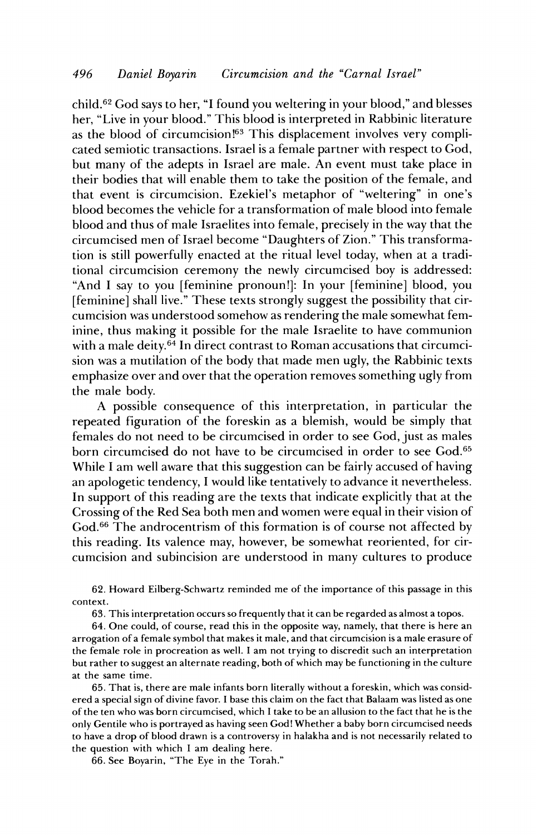**child.62 God says to her, "I found you weltering in your blood," and blesses her, "Live in your blood." This blood is interpreted in Rabbinic literature**  as the blood of circumcision!<sup>63</sup> This displacement involves very compli**cated semiotic transactions. Israel is a female partner with respect to God, but many of the adepts in Israel are male. An event must take place in their bodies that will enable them to take the position of the female, and that event is circumcision. Ezekiel's metaphor of "weltering" in one's blood becomes the vehicle for a transformation of male blood into female blood and thus of male Israelites into female, precisely in the way that the circumcised men of Israel become "Daughters of Zion." This transformation is still powerfully enacted at the ritual level today, when at a traditional circumcision ceremony the newly circumcised boy is addressed: "And I say to you [feminine pronoun!]: In your [feminine] blood, you [feminine] shall live." These texts strongly suggest the possibility that circumcision was understood somehow as rendering the male somewhat feminine, thus making it possible for the male Israelite to have communion**  with a male deity.<sup>64</sup> In direct contrast to Roman accusations that circumci**sion was a mutilation of the body that made men ugly, the Rabbinic texts emphasize over and over that the operation removes something ugly from the male body.** 

**A possible consequence of this interpretation, in particular the repeated figuration of the foreskin as a blemish, would be simply that females do not need to be circumcised in order to see God, just as males born circumcised do not have to be circumcised in order to see God.65 While I am well aware that this suggestion can be fairly accused of having an apologetic tendency, I would like tentatively to advance it nevertheless. In support of this reading are the texts that indicate explicitly that at the Crossing of the Red Sea both men and women were equal in their vision of God.66 The androcentrism of this formation is of course not affected by this reading. Its valence may, however, be somewhat reoriented, for circumcision and subincision are understood in many cultures to produce** 

**62. Howard Eilberg-Schwartz reminded me of the importance of this passage in this context.** 

**63. This interpretation occurs so frequently that it can be regarded as almost a topos.** 

**64. One could, of course, read this in the opposite way, namely, that there is here an arrogation of a female symbol that makes it male, and that circumcision is a male erasure of the female role in procreation as well. I am not trying to discredit such an interpretation but rather to suggest an alternate reading, both of which may be functioning in the culture at the same time.** 

**65. That is, there are male infants born literally without a foreskin, which was considered a special sign of divine favor. I base this claim on the fact that Balaam was listed as one of the ten who was born circumcised, which I take to be an allusion to the fact that he is the only Gentile who is portrayed as having seen God! Whether a baby born circumcised needs to have a drop of blood drawn is a controversy in halakha and is not necessarily related to the question with which I am dealing here.** 

**66. See Boyarin, "The Eye in the Torah."**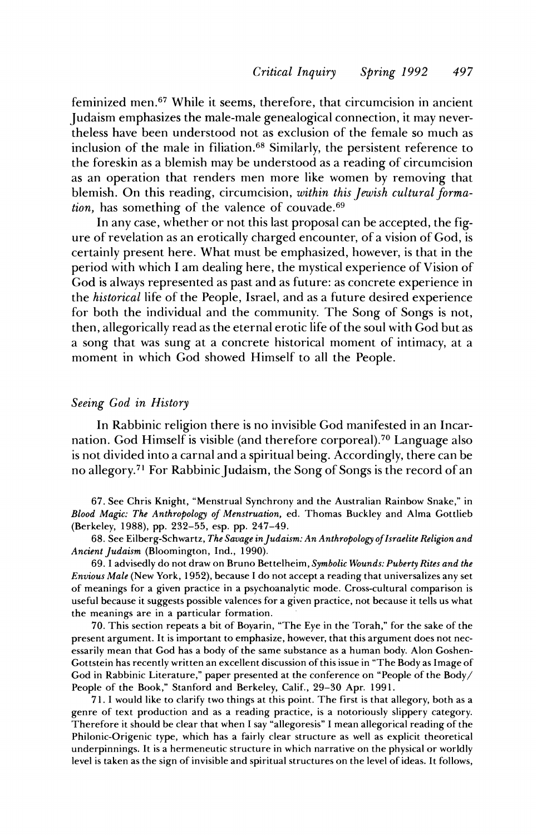**feminized men.67 While it seems, therefore, that circumcision in ancient Judaism emphasizes the male-male genealogical connection, it may nevertheless have been understood not as exclusion of the female so much as inclusion of the male in filiation.68 Similarly, the persistent reference to the foreskin as a blemish may be understood as a reading of circumcision as an operation that renders men more like women by removing that**  blemish. On this reading, circumcision, within this Jewish cultural forma**tion, has something of the valence of couvade.69** 

**In any case, whether or not this last proposal can be accepted, the figure of revelation as an erotically charged encounter, of a vision of God, is certainly present here. What must be emphasized, however, is that in the period with which I am dealing here, the mystical experience of Vision of God is always represented as past and as future: as concrete experience in the historical life of the People, Israel, and as a future desired experience for both the individual and the community. The Song of Songs is not, then, allegorically read as the eternal erotic life of the soul with God but as a song that was sung at a concrete historical moment of intimacy, at a moment in which God showed Himself to all the People.** 

### **Seeing God in History**

**In Rabbinic religion there is no invisible God manifested in an Incarnation. God Himself is visible (and therefore corporeal).70 Language also is not divided into a carnal and a spiritual being. Accordingly, there can be**  no allegory.<sup>71</sup> For Rabbinic Judaism, the Song of Songs is the record of an

**67. See Chris Knight, "Menstrual Synchrony and the Australian Rainbow Snake," in Blood Magic: The Anthropology of Menstruation, ed. Thomas Buckley and Alma Gottlieb (Berkeley, 1988), pp. 232-55, esp. pp. 247-49.** 

**68. See Eilberg-Schwartz, The Savage in Judaism: An Anthropology of Israelite Religion and Ancient Judaism (Bloomington, Ind., 1990).** 

**69. I advisedly do not draw on Bruno Bettelheim, Symbolic Wounds: Puberty Rites and the Envious Male (New York, 1952), because I do not accept a reading that universalizes any set of meanings for a given practice in a psychoanalytic mode. Cross-cultural comparison is useful because it suggests possible valences for a given practice, not because it tells us what the meanings are in a particular formation.** 

**70. This section repeats a bit of Boyarin, "The Eye in the Torah," for the sake of the present argument. It is important to emphasize, however, that this argument does not necessarily mean that God has a body of the same substance as a human body. Alon Goshen-Gottstein has recently written an excellent discussion of this issue in "The Body as Image of God in Rabbinic Literature," paper presented at the conference on "People of the Body/ People of the Book," Stanford and Berkeley, Calif., 29-30 Apr. 1991.** 

**71. I would like to clarify two things at this point. The first is that allegory, both as a genre of text production and as a reading practice, is a notoriously slippery category. Therefore it should be clear that when I say "allegoresis" I mean allegorical reading of the Philonic-Origenic type, which has a fairly clear structure as well as explicit theoretical underpinnings. It is a hermeneutic structure in which narrative on the physical or worldly level is taken as the sign of invisible and spiritual structures on the level of ideas. It follows,**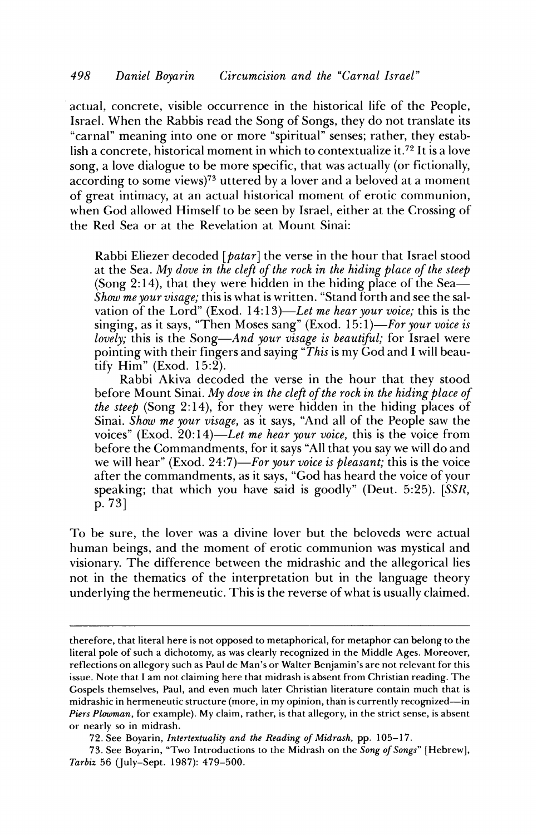**actual, concrete, visible occurrence in the historical life of the People, Israel. When the Rabbis read the Song of Songs, they do not translate its "carnal" meaning into one or more "spiritual" senses; rather, they establish a concrete, historical moment in which to contextualize it.72 It is a love song, a love dialogue to be more specific, that was actually (or fictionally, according to some views)73 uttered by a lover and a beloved at a moment of great intimacy, at an actual historical moment of erotic communion, when God allowed Himself to be seen by Israel, either at the Crossing of the Red Sea or at the Revelation at Mount Sinai:** 

**Rabbi Eliezer decoded [patar] the verse in the hour that Israel stood at the Sea. My dove in the cleft of the rock in the hiding place of the steep (Song 2:14), that they were hidden in the hiding place of the Sea-Show me your visage; this is what is written. "Stand forth and see the sal**vation of the Lord" (Exod. 14:13)—Let me hear your voice; this is the singing, as it says, "Then Moses sang" (Exod. 15:1)—For your voice is **lovely; this is the Song-And your visage is beautiful; for Israel were pointing with their fingers and saying "This is my God and I will beautify Him" (Exod. 15:2).** 

**Rabbi Akiva decoded the verse in the hour that they stood before Mount Sinai. My dove in the cleft of the rock in the hiding place of the steep (Song 2:14), for they were hidden in the hiding places of Sinai. Show me your visage, as it says, "And all of the People saw the**  voices" (Exod. 20:14)—Let me hear your voice, this is the voice from **before the Commandments, for it says "All that you say we will do and**  we will hear" (Exod. 24:7)—For your voice is pleasant; this is the voice **after the commandments, as it says, "God has heard the voice of your speaking; that which you have said is goodly" (Deut. 5:25). [SSR, p. 73]** 

**To be sure, the lover was a divine lover but the beloveds were actual human beings, and the moment of erotic communion was mystical and visionary. The difference between the midrashic and the allegorical lies not in the thematics of the interpretation but in the language theory underlying the hermeneutic. This is the reverse of what is usually claimed.** 

**therefore, that literal here is not opposed to metaphorical, for metaphor can belong to the literal pole of such a dichotomy, as was clearly recognized in the Middle Ages. Moreover, reflections on allegory such as Paul de Man's or Walter Benjamin's are not relevant for this issue. Note that I am not claiming here that midrash is absent from Christian reading. The Gospels themselves, Paul, and even much later Christian literature contain much that is midrashic in hermeneutic structure (more, in my opinion, than is currently recognized-in Piers Plowman, for example). My claim, rather, is that allegory, in the strict sense, is absent or nearly so in midrash.** 

**<sup>72.</sup> See Boyarin, Intertextuality and the Reading of Midrash, pp. 105-17.** 

**<sup>73.</sup> See Boyarin, "Two Introductions to the Midrash on the Song of Songs" [Hebrew], Tarbiz 56 (July-Sept. 1987): 479-500.**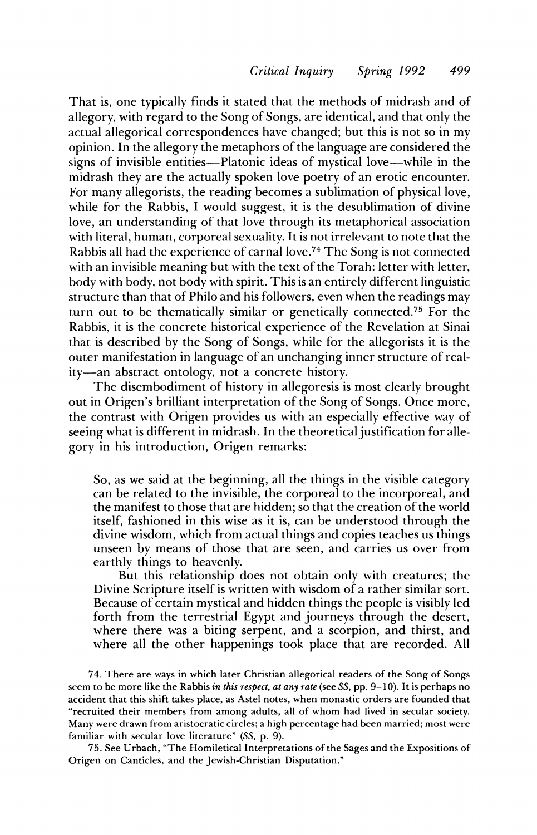**That is, one typically finds it stated that the methods of midrash and of allegory, with regard to the Song of Songs, are identical, and that only the actual allegorical correspondences have changed; but this is not so in my opinion. In the allegory the metaphors of the language are considered the signs of invisible entities-Platonic ideas of mystical love-while in the midrash they are the actually spoken love poetry of an erotic encounter. For many allegorists, the reading becomes a sublimation of physical love, while for the Rabbis, I would suggest, it is the desublimation of divine love, an understanding of that love through its metaphorical association with literal, human, corporeal sexuality. It is not irrelevant to note that the Rabbis all had the experience of carnal love.74 The Song is not connected with an invisible meaning but with the text of the Torah: letter with letter, body with body, not body with spirit. This is an entirely different linguistic structure than that of Philo and his followers, even when the readings may turn out to be thematically similar or genetically connected.75 For the Rabbis, it is the concrete historical experience of the Revelation at Sinai that is described by the Song of Songs, while for the allegorists it is the outer manifestation in language of an unchanging inner structure of reality-an abstract ontology, not a concrete history.** 

**The disembodiment of history in allegoresis is most clearly brought out in Origen's brilliant interpretation of the Song of Songs. Once more, the contrast with Origen provides us with an especially effective way of seeing what is different in midrash. In the theoretical justification for allegory in his introduction, Origen remarks:** 

**So, as we said at the beginning, all the things in the visible category can be related to the invisible, the corporeal to the incorporeal, and the manifest to those that are hidden; so that the creation of the world itself, fashioned in this wise as it is, can be understood through the divine wisdom, which from actual things and copies teaches us things unseen by means of those that are seen, and carries us over from earthly things to heavenly.** 

**But this relationship does not obtain only with creatures; the Divine Scripture itself is written with wisdom of a rather similar sort. Because of certain mystical and hidden things the people is visibly led forth from the terrestrial Egypt and journeys through the desert, where there was a biting serpent, and a scorpion, and thirst, and where all the other happenings took place that are recorded. All** 

**74. There are ways in which later Christian allegorical readers of the Song of Songs seem to be more like the Rabbis in this respect, at any rate (see SS, pp. 9-10). It is perhaps no accident that this shift takes place, as Astel notes, when monastic orders are founded that "recruited their members from among adults, all of whom had lived in secular society. Many were drawn from aristocratic circles; a high percentage had been married; most were familiar with secular love literature" (SS, p. 9).** 

**75. See Urbach, "The Homiletical Interpretations of the Sages and the Expositions of Origen on Canticles, and the Jewish-Christian Disputation."**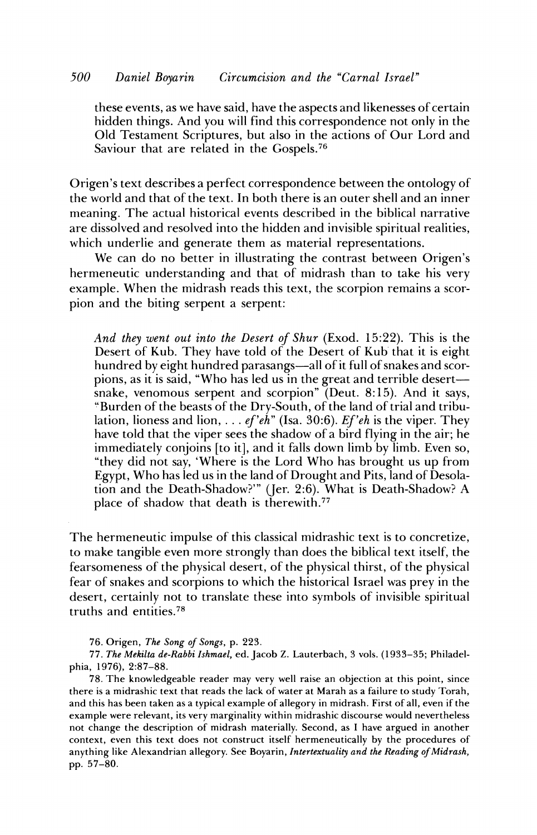**these events, as we have said, have the aspects and likenesses of certain hidden things. And you will find this correspondence not only in the Old Testament Scriptures, but also in the actions of Our Lord and Saviour that are related in the Gospels.76** 

**Origen's text describes a perfect correspondence between the ontology of the world and that of the text. In both there is an outer shell and an inner meaning. The actual historical events described in the biblical narrative are dissolved and resolved into the hidden and invisible spiritual realities, which underlie and generate them as material representations.** 

**We can do no better in illustrating the contrast between Origen's hermeneutic understanding and that of midrash than to take his very example. When the midrash reads this text, the scorpion remains a scorpion and the biting serpent a serpent:** 

**And they went out into the Desert of Shur (Exod. 15:22). This is the Desert of Kub. They have told of the Desert of Kub that it is eight hundred by eight hundred parasangs-all of it full of snakes and scorpions, as it is said, "Who has led us in the great and terrible desertsnake, venomous serpent and scorpion" (Deut. 8:15). And it says, "Burden of the beasts of the Dry-South, of the land of trial and tribulation, lioness and lion, . . . ef'eh" (Isa. 30:6). Ef'eh is the viper. They have told that the viper sees the shadow of a bird flying in the air; he immediately conjoins [to it], and it falls down limb by limb. Even so, "they did not say, 'Where is the Lord Who has brought us up from Egypt, Who has led us in the land of Drought and Pits, land of Desolation and the Death-Shadow?"' (Jer. 2:6). What is Death-Shadow? A place of shadow that death is therewith.77** 

**The hermeneutic impulse of this classical midrashic text is to concretize, to make tangible even more strongly than does the biblical text itself, the fearsomeness of the physical desert, of the physical thirst, of the physical fear of snakes and scorpions to which the historical Israel was prey in the desert, certainly not to translate these into symbols of invisible spiritual truths and entities.78** 

**76. Origen, The Song of Songs, p. 223.** 

**77. The Mekilta de-Rabbi Ishmael, ed. Jacob Z. Lauterbach, 3 vols. (1933-35; Philadelphia, 1976), 2:87-88.** 

**78. The knowledgeable reader may very well raise an objection at this point, since there is a midrashic text that reads the lack of water at Marah as a failure to study Torah, and this has been taken as a typical example of allegory in midrash. First of all, even if the example were relevant, its very marginality within midrashic discourse would nevertheless not change the description of midrash materially. Second, as I have argued in another context, even this text does not construct itself hermeneutically by the procedures of anything like Alexandrian allegory. See Boyarin, Intertextuality and the Reading of Midrash, pp. 57-80.**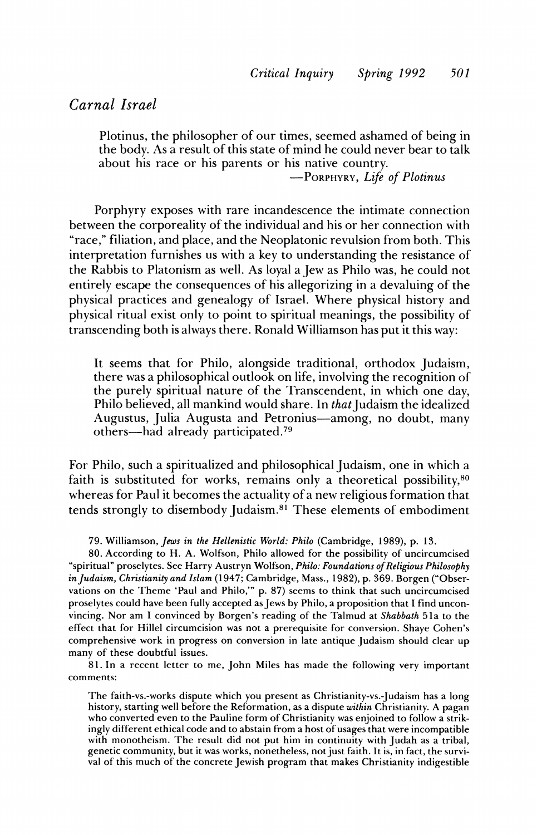## **Carnal Israel**

**Plotinus, the philosopher of our times, seemed ashamed of being in the body. As a result of this state of mind he could never bear to talk about his race or his parents or his native country.** 

**-PORPHYRY, Life of Plotinus** 

**Porphyry exposes with rare incandescence the intimate connection between the corporeality of the individual and his or her connection with "race," filiation, and place, and the Neoplatonic revulsion from both. This interpretation furnishes us with a key to understanding the resistance of the Rabbis to Platonism as well. As loyal a Jew as Philo was, he could not entirely escape the consequences of his allegorizing in a devaluing of the physical practices and genealogy of Israel. Where physical history and physical ritual exist only to point to spiritual meanings, the possibility of transcending both is always there. Ronald Williamson has put it this way:** 

**It seems that for Philo, alongside traditional, orthodox Judaism, there was a philosophical outlook on life, involving the recognition of the purely spiritual nature of the Transcendent, in which one day,**  Philo believed, all mankind would share. In that Judaism the idealized **Augustus, Julia Augusta and Petronius-among, no doubt, many others-had already participated.79** 

**For Philo, such a spiritualized and philosophical Judaism, one in which a**  faith is substituted for works, remains only a theoretical possibility,<sup>80</sup> **whereas for Paul it becomes the actuality of a new religious formation that tends strongly to disembody Judaism.81 These elements of embodiment** 

**79. Williamson, Jews in the Hellenistic World: Philo (Cambridge, 1989), p. 13.** 

**80. According to H. A. Wolfson, Philo allowed for the possibility of uncircumcised "spiritual" proselytes. See Harry Austryn Wolfson, Philo: Foundations of Religious Philosophy in Judaism, Christianity and Islam (1947; Cambridge, Mass., 1982), p. 369. Borgen ("Observations on the Theme 'Paul and Philo,"' p. 87) seems to think that such uncircumcised proselytes could have been fully accepted as Jews by Philo, a proposition that I find unconvincing. Nor am I convinced by Borgen's reading of the Talmud at Shabbath 5 la to the effect that for Hillel circumcision was not a prerequisite for conversion. Shaye Cohen's comprehensive work in progress on conversion in late antique Judaism should clear up many of these doubtful issues.** 

**81. In a recent letter to me, John Miles has made the following very important comments:** 

**The faith-vs.-works dispute which you present as Christianity-vs.-Judaism has a long history, starting well before the Reformation, as a dispute within Christianity. A pagan who converted even to the Pauline form of Christianity was enjoined to follow a strikingly different ethical code and to abstain from a host of usages that were incompatible**  with monotheism. The result did not put him in continuity with Judah as a tribal, **genetic community, but it was works, nonetheless, not just faith. It is, in fact, the survival of this much of the concrete Jewish program that makes Christianity indigestible**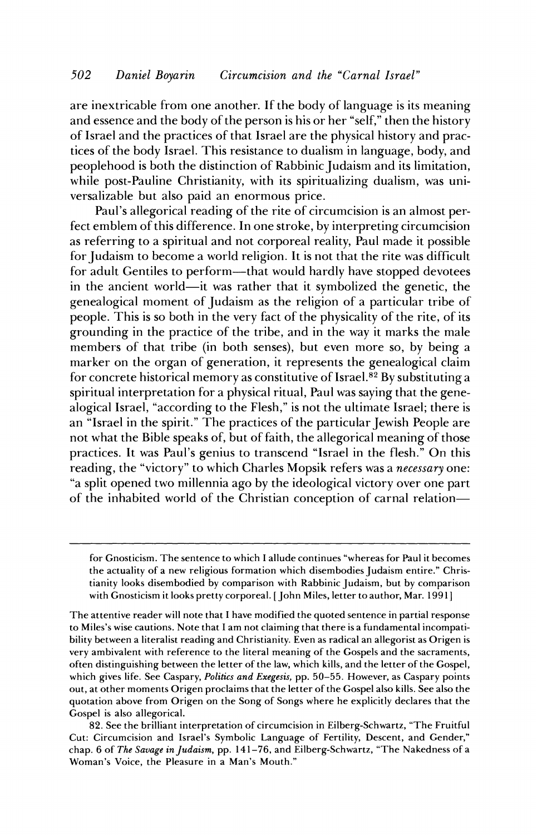**are inextricable from one another. If the body of language is its meaning and essence and the body of the person is his or her "self," then the history of Israel and the practices of that Israel are the physical history and practices of the body Israel. This resistance to dualism in language, body, and peoplehood is both the distinction of Rabbinic Judaism and its limitation,**  while post-Pauline Christianity, with its spiritualizing dualism, was uni**versalizable but also paid an enormous price.** 

**Paul's allegorical reading of the rite of circumcision is an almost perfect emblem of this difference. In one stroke, by interpreting circumcision as referring to a spiritual and not corporeal reality, Paul made it possible for Judaism to become a world religion. It is not that the rite was difficult for adult Gentiles to perform-that would hardly have stopped devotees**  in the ancient world—it was rather that it symbolized the genetic, the **genealogical moment of Judaism as the religion of a particular tribe of people. This is so both in the very fact of the physicality of the rite, of its grounding in the practice of the tribe, and in the way it marks the male members of that tribe (in both senses), but even more so, by being a marker on the organ of generation, it represents the genealogical claim for concrete historical memory as constitutive of Israel.82 By substituting a spiritual interpretation for a physical ritual, Paul was saying that the genealogical Israel, "according to the Flesh," is not the ultimate Israel; there is an "Israel in the spirit." The practices of the particular Jewish People are not what the Bible speaks of, but of faith, the allegorical meaning of those practices. It was Paul's genius to transcend "Israel in the flesh." On this reading, the "victory" to which Charles Mopsik refers was a necessary one: "a split opened two millennia ago by the ideological victory over one part of the inhabited world of the Christian conception of carnal relation-**

**82. See the brilliant interpretation of circumcision in Eilberg-Schwartz, "The Fruitful Cut: Circumcision and Israel's Symbolic Language of Fertility, Descent, and Gender," chap. 6 of The Savage in Judaism, pp. 141-76, and Eilberg-Schwartz, "The Nakedness of a Woman's Voice, the Pleasure in a Man's Mouth."** 

**for Gnosticism. The sentence to which I allude continues "whereas for Paul it becomes the actuality of a new religious formation which disembodies Judaism entire." Christianity looks disembodied by comparison with Rabbinic Judaism, but by comparison with Gnosticism it looks pretty corporeal. [ John Miles, letter to author, Mar. 1991 ]** 

**The attentive reader will note that I have modified the quoted sentence in partial response to Miles's wise cautions. Note that I am not claiming that there is a fundamental incompatibility between a literalist reading and Christianity. Even as radical an allegorist as Origen is very ambivalent with reference to the literal meaning of the Gospels and the sacraments, often distinguishing between the letter of the law, which kills, and the letter of the Gospel, which gives life. See Caspary, Politics and Exegesis, pp. 50-55. However, as Caspary points out, at other moments Origen proclaims that the letter of the Gospel also kills. See also the quotation above from Origen on the Song of Songs where he explicitly declares that the Gospel is also allegorical.**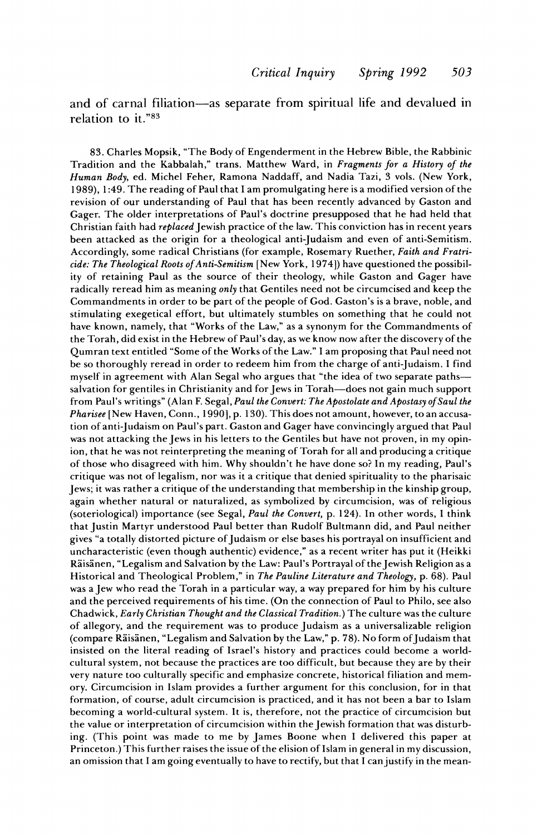**and of carnal filiation-as separate from spiritual life and devalued in relation to it."83** 

**83. Charles Mopsik, "The Body of Engenderment in the Hebrew Bible, the Rabbinic Tradition and the Kabbalah," trans. Matthew Ward, in Fragments for a History of the Human Body, ed. Michel Feher, Ramona Naddaff, and Nadia Tazi, 3 vols. (New York, 1989), 1:49. The reading of Paul that I am promulgating here is a modified version of the revision of our understanding of Paul that has been recently advanced by Gaston and Gager. The older interpretations of Paul's doctrine presupposed that he had held that Christian faith had replaced Jewish practice of the law. This conviction has in recent years been attacked as the origin for a theological anti-Judaism and even of anti-Semitism. Accordingly, some radical Christians (for example, Rosemary Ruether, Faith and Fratricide: The Theological Roots of Anti-Semitism [New York, 1974]) have questioned the possibility of retaining Paul as the source of their theology, while Gaston and Gager have radically reread him as meaning only that Gentiles need not be circumcised and keep the Commandments in order to be part of the people of God. Gaston's is a brave, noble, and stimulating exegetical effort, but ultimately stumbles on something that he could not have known, namely, that "Works of the Law," as a synonym for the Commandments of the Torah, did exist in the Hebrew of Paul's day, as we know now after the discovery of the Qumran text entitled "Some of the Works of the Law." I am proposing that Paul need not be so thoroughly reread in order to redeem him from the charge of anti-Judaism. I find myself in agreement with Alan Segal who argues that "the idea of two separate pathssalvation for gentiles in Christianity and for Jews in Torah-does not gain much support from Paul's writings" (Alan F. Segal, Paul the Convert: The Apostolate and Apostasy of Saul the Pharisee [New Haven, Conn., 1990], p. 130). This does not amount, however, to an accusation of anti-Judaism on Paul's part. Gaston and Gager have convincingly argued that Paul**  was not attacking the Jews in his letters to the Gentiles but have not proven, in my opin**ion, that he was not reinterpreting the meaning of Torah for all and producing a critique of those who disagreed with him. Why shouldn't he have done so? In my reading, Paul's critique was not of legalism, nor was it a critique that denied spirituality to the pharisaic Jews; it was rather a critique of the understanding that membership in the kinship group, again whether natural or naturalized, as symbolized by circumcision, was of religious (soteriological) importance (see Segal, Paul the Convert, p. 124). In other words, I think that Justin Martyr understood Paul better than Rudolf Bultmann did, and Paul neither gives "a totally distorted picture of Judaism or else bases his portrayal on insufficient and uncharacteristic (even though authentic) evidence," as a recent writer has put it (Heikki Raisanen, "Legalism and Salvation by the Law: Paul's Portrayal of the Jewish Religion as a Historical and Theological Problem," in The Pauline Literature and Theology, p. 68). Paul was a Jew who read the Torah in a particular way, a way prepared for him by his culture and the perceived requirements of his time. (On the connection of Paul to Philo, see also Chadwick, Early Christian Thought and the Classical Tradition.) The culture was the culture of allegory, and the requirement was to produce Judaism as a universalizable religion**  (compare Räisänen, "Legalism and Salvation by the Law," p. 78). No form of Judaism that **insisted on the literal reading of Israel's history and practices could become a worldcultural system, not because the practices are too difficult, but because they are by their very nature too culturally specific and emphasize concrete, historical filiation and memory. Circumcision in Islam provides a further argument for this conclusion, for in that formation, of course, adult circumcision is practiced, and it has not been a bar to Islam becoming a world-cultural system. It is, therefore, not the practice of circumcision but the value or interpretation of circumcision within the Jewish formation that was disturbing. (This point was made to me by James Boone when I delivered this paper at Princeton.) This further raises the issue of the elision of Islam in general in my discussion, an omission that I am going eventually to have to rectify, but that I canjustify in the mean-**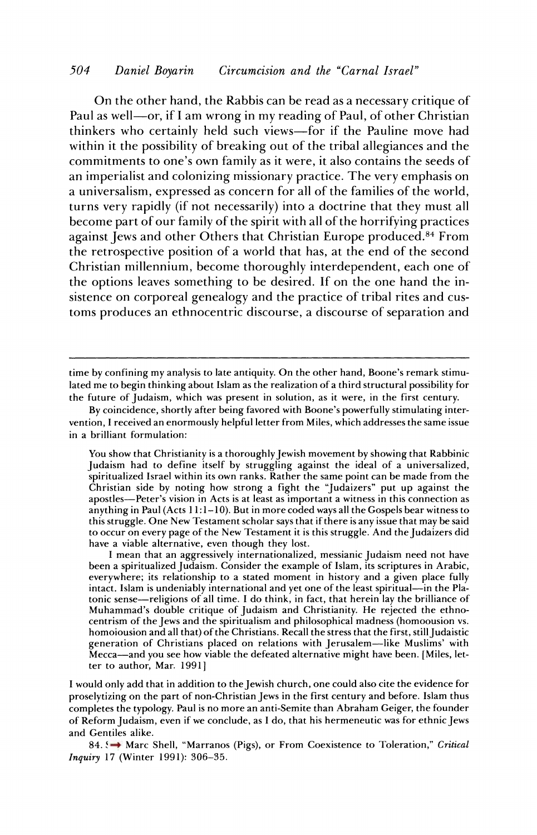#### **504 Daniel Boyarin Circumcision and the "Carnal Israel"**

**On the other hand, the Rabbis can be read as a necessary critique of**  Paul as well—or, if I am wrong in my reading of Paul, of other Christian **thinkers who certainly held such views-for if the Pauline move had within it the possibility of breaking out of the tribal allegiances and the commitments to one's own family as it were, it also contains the seeds of an imperialist and colonizing missionary practice. The very emphasis on a universalism, expressed as concern for all of the families of the world, turns very rapidly (if not necessarily) into a doctrine that they must all become part of our family of the spirit with all of the horrifying practices against Jews and other Others that Christian Europe produced.84 From the retrospective position of a world that has, at the end of the second Christian millennium, become thoroughly interdependent, each one of the options leaves something to be desired. If on the one hand the insistence on corporeal genealogy and the practice of tribal rites and customs produces an ethnocentric discourse, a discourse of separation and** 

You show that Christianity is a thoroughly Jewish movement by showing that Rabbinic **Judaism had to define itself by struggling against the ideal of a universalized, spiritualized Israel within its own ranks. Rather the same point can be made from the Christian side by noting how strong a fight the "Judaizers" put up against the apostles-Peter's vision in Acts is at least as important a witness in this connection as anything in Paul (Acts 11:1-10). But in more coded ways all the Gospels bear witness to this struggle. One New Testament scholar says that if there is any issue that may be said**  to occur on every page of the New Testament it is this struggle. And the Judaizers did **have a viable alternative, even though they lost.** 

**I mean that an aggressively internationalized, messianic Judaism need not have been a spiritualized Judaism. Consider the example of Islam, its scriptures in Arabic, everywhere; its relationship to a stated moment in history and a given place fully**  intact. Islam is undeniably international and yet one of the least spiritual—in the Pla**tonic sense-religions of all time. I do think, in fact, that herein lay the brilliance of Muhammad's double critique of Judaism and Christianity. He rejected the ethnocentrism of the Jews and the spiritualism and philosophical madness (homoousion vs.**  homoiousion and all that) of the Christians. Recall the stress that the first, still Judaistic **generation of Christians placed on relations with Jerusalem-like Muslims' with Mecca-and you see how viable the defeated alternative might have been. [Miles, letter to author, Mar. 1991]** 

**I would only add that in addition to the Jewish church, one could also cite the evidence for proselytizing on the part of non-Christian Jews in the first century and before. Islam thus completes the typology. Paul is no more an anti-Semite than Abraham Geiger, the founder of Reform Judaism, even if we conclude, as I do, that his hermeneutic was for ethnic Jews and Gentiles alike.** 

84. See Marc Shell, "Marranos (Pigs), or From Coexistence to Toleration," Critical **Inquiry 17 (Winter 1991): 306-35.** 

**time by confining my analysis to late antiquity. On the other hand, Boone's remark stimulated me to begin thinking about Islam as the realization of a third structural possibility for the future of Judaism, which was present in solution, as it were, in the first century.** 

**By coincidence, shortly after being favored with Boone's powerfully stimulating intervention, I received an enormously helpful letter from Miles, which addresses the same issue in a brilliant formulation:**